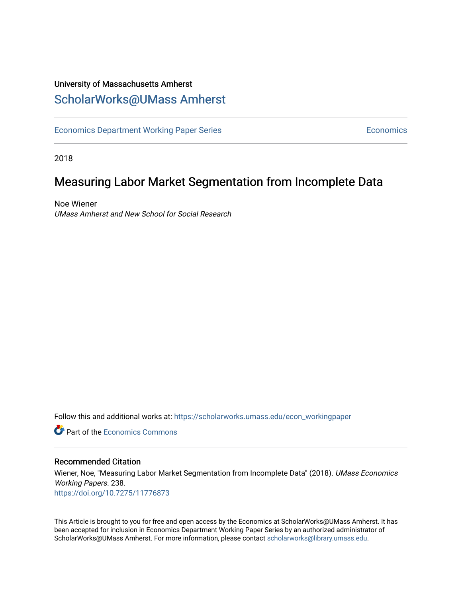# University of Massachusetts Amherst [ScholarWorks@UMass Amherst](https://scholarworks.umass.edu/)

[Economics Department Working Paper Series](https://scholarworks.umass.edu/econ_workingpaper) **Economics** Economics

2018

# Measuring Labor Market Segmentation from Incomplete Data

Noe Wiener UMass Amherst and New School for Social Research

Follow this and additional works at: [https://scholarworks.umass.edu/econ\\_workingpaper](https://scholarworks.umass.edu/econ_workingpaper?utm_source=scholarworks.umass.edu%2Fecon_workingpaper%2F238&utm_medium=PDF&utm_campaign=PDFCoverPages) 

**C** Part of the [Economics Commons](http://network.bepress.com/hgg/discipline/340?utm_source=scholarworks.umass.edu%2Fecon_workingpaper%2F238&utm_medium=PDF&utm_campaign=PDFCoverPages)

### Recommended Citation

Wiener, Noe, "Measuring Labor Market Segmentation from Incomplete Data" (2018). UMass Economics Working Papers. 238. <https://doi.org/10.7275/11776873>

This Article is brought to you for free and open access by the Economics at ScholarWorks@UMass Amherst. It has been accepted for inclusion in Economics Department Working Paper Series by an authorized administrator of ScholarWorks@UMass Amherst. For more information, please contact [scholarworks@library.umass.edu.](mailto:scholarworks@library.umass.edu)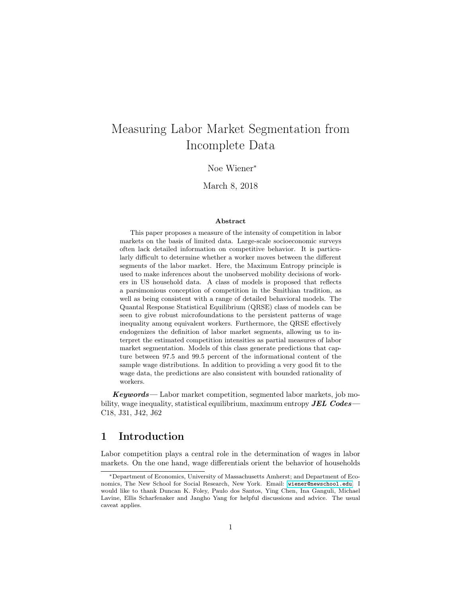# Measuring Labor Market Segmentation from Incomplete Data

Noe Wiener<sup>∗</sup>

March 8, 2018

#### Abstract

This paper proposes a measure of the intensity of competition in labor markets on the basis of limited data. Large-scale socioeconomic surveys often lack detailed information on competitive behavior. It is particularly difficult to determine whether a worker moves between the different segments of the labor market. Here, the Maximum Entropy principle is used to make inferences about the unobserved mobility decisions of workers in US household data. A class of models is proposed that reflects a parsimonious conception of competition in the Smithian tradition, as well as being consistent with a range of detailed behavioral models. The Quantal Response Statistical Equilibrium (QRSE) class of models can be seen to give robust microfoundations to the persistent patterns of wage inequality among equivalent workers. Furthermore, the QRSE effectively endogenizes the definition of labor market segments, allowing us to interpret the estimated competition intensities as partial measures of labor market segmentation. Models of this class generate predictions that capture between 97.5 and 99.5 percent of the informational content of the sample wage distributions. In addition to providing a very good fit to the wage data, the predictions are also consistent with bounded rationality of workers.

 $Keywords$ — Labor market competition, segmented labor markets, job mobility, wage inequality, statistical equilibrium, maximum entropy  $JEL$  Codes— C18, J31, J42, J62

### 1 Introduction

Labor competition plays a central role in the determination of wages in labor markets. On the one hand, wage differentials orient the behavior of households

<sup>∗</sup>Department of Economics, University of Massachusetts Amherst; and Department of Economics, The New School for Social Research, New York. Email: <wiener@newschool.edu>. I would like to thank Duncan K. Foley, Paulo dos Santos, Ying Chen, Ina Ganguli, Michael Lavine, Ellis Scharfenaker and Jangho Yang for helpful discussions and advice. The usual caveat applies.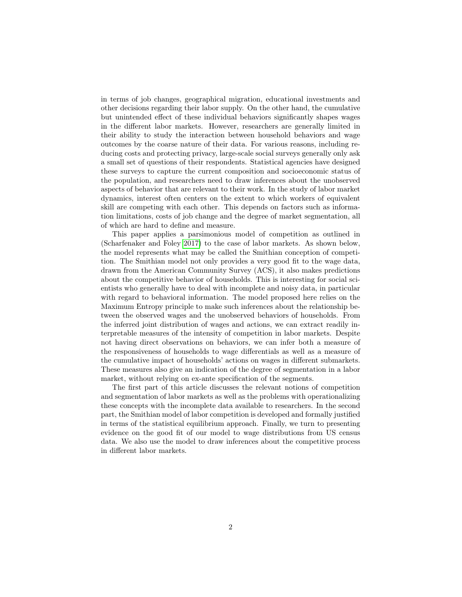in terms of job changes, geographical migration, educational investments and other decisions regarding their labor supply. On the other hand, the cumulative but unintended effect of these individual behaviors significantly shapes wages in the different labor markets. However, researchers are generally limited in their ability to study the interaction between household behaviors and wage outcomes by the coarse nature of their data. For various reasons, including reducing costs and protecting privacy, large-scale social surveys generally only ask a small set of questions of their respondents. Statistical agencies have designed these surveys to capture the current composition and socioeconomic status of the population, and researchers need to draw inferences about the unobserved aspects of behavior that are relevant to their work. In the study of labor market dynamics, interest often centers on the extent to which workers of equivalent skill are competing with each other. This depends on factors such as information limitations, costs of job change and the degree of market segmentation, all of which are hard to define and measure.

This paper applies a parsimonious model of competition as outlined in (Scharfenaker and Foley [2017\)](#page-27-0) to the case of labor markets. As shown below, the model represents what may be called the Smithian conception of competition. The Smithian model not only provides a very good fit to the wage data, drawn from the American Community Survey (ACS), it also makes predictions about the competitive behavior of households. This is interesting for social scientists who generally have to deal with incomplete and noisy data, in particular with regard to behavioral information. The model proposed here relies on the Maximum Entropy principle to make such inferences about the relationship between the observed wages and the unobserved behaviors of households. From the inferred joint distribution of wages and actions, we can extract readily interpretable measures of the intensity of competition in labor markets. Despite not having direct observations on behaviors, we can infer both a measure of the responsiveness of households to wage differentials as well as a measure of the cumulative impact of households' actions on wages in different submarkets. These measures also give an indication of the degree of segmentation in a labor market, without relying on ex-ante specification of the segments.

The first part of this article discusses the relevant notions of competition and segmentation of labor markets as well as the problems with operationalizing these concepts with the incomplete data available to researchers. In the second part, the Smithian model of labor competition is developed and formally justified in terms of the statistical equilibrium approach. Finally, we turn to presenting evidence on the good fit of our model to wage distributions from US census data. We also use the model to draw inferences about the competitive process in different labor markets.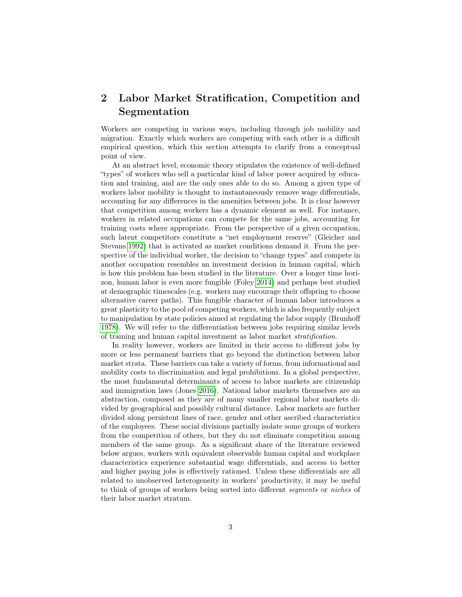# 2 Labor Market Stratification, Competition and Segmentation

Workers are competing in various ways, including through job mobility and migration. Exactly which workers are competing with each other is a difficult empirical question, which this section attempts to clarify from a conceptual point of view.

At an abstract level, economic theory stipulates the existence of well-defined "types" of workers who sell a particular kind of labor power acquired by education and training, and are the only ones able to do so. Among a given type of workers labor mobility is thought to instantaneously remove wage differentials, accounting for any differences in the amenities between jobs. It is clear however that competition among workers has a dynamic element as well. For instance, workers in related occupations can compete for the same jobs, accounting for training costs where appropriate. From the perspective of a given occupation, such latent competitors constitute a "net employment reserve" (Gleicher and Stevans [1992\)](#page-26-0) that is activated as market conditions demand it. From the perspective of the individual worker, the decision to "change types" and compete in another occupation resembles an investment decision in human capital, which is how this problem has been studied in the literature. Over a longer time horizon, human labor is even more fungible (Foley [2014\)](#page-26-1) and perhaps best studied at demographic timescales (e.g. workers may encourage their offspring to choose alternative career paths). This fungible character of human labor introduces a great plasticity to the pool of competing workers, which is also frequently subject to manipulation by state policies aimed at regulating the labor supply (Brunhoff [1978\)](#page-25-0). We will refer to the differentiation between jobs requiring similar levels of training and human capital investment as labor market stratification.

In reality however, workers are limited in their access to different jobs by more or less permanent barriers that go beyond the distinction between labor market strata. These barriers can take a variety of forms, from informational and mobility costs to discrimination and legal prohibitions. In a global perspective, the most fundamental determinants of access to labor markets are citizenship and immigration laws (Jones [2016\)](#page-26-2). National labor markets themselves are an abstraction, composed as they are of many smaller regional labor markets divided by geographical and possibly cultural distance. Labor markets are further divided along persistent lines of race, gender and other ascribed characteristics of the employees. These social divisions partially isolate some groups of workers from the competition of others, but they do not eliminate competition among members of the same group. As a significant share of the literature reviewed below argues, workers with equivalent observable human capital and workplace characteristics experience substantial wage differentials, and access to better and higher paying jobs is effectively rationed. Unless these differentials are all related to unobserved heterogeneity in workers' productivity, it may be useful to think of groups of workers being sorted into different segments or niches of their labor market stratum.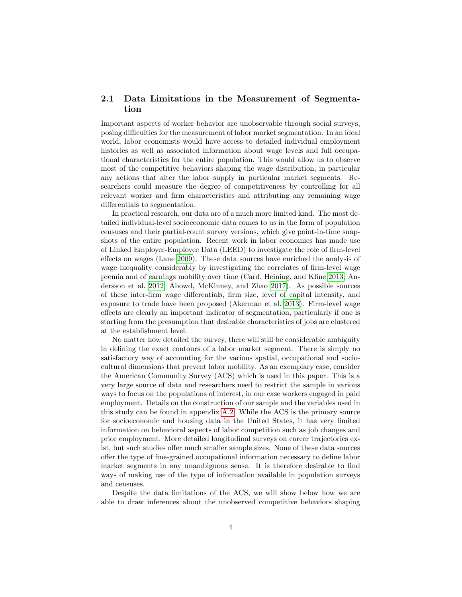### 2.1 Data Limitations in the Measurement of Segmentation

Important aspects of worker behavior are unobservable through social surveys, posing difficulties for the measurement of labor market segmentation. In an ideal world, labor economists would have access to detailed individual employment histories as well as associated information about wage levels and full occupational characteristics for the entire population. This would allow us to observe most of the competitive behaviors shaping the wage distribution, in particular any actions that alter the labor supply in particular market segments. Researchers could measure the degree of competitiveness by controlling for all relevant worker and firm characteristics and attributing any remaining wage differentials to segmentation.

In practical research, our data are of a much more limited kind. The most detailed individual-level socioeconomic data comes to us in the form of population censuses and their partial-count survey versions, which give point-in-time snapshots of the entire population. Recent work in labor economics has made use of Linked Employer-Employee Data (LEED) to investigate the role of firm-level effects on wages (Lane [2009\)](#page-26-3). These data sources have enriched the analysis of wage inequality considerably by investigating the correlates of firm-level wage premia and of earnings mobility over time (Card, Heining, and Kline [2013;](#page-25-1) Andersson et al. [2012;](#page-25-2) Abowd, McKinney, and Zhao [2017\)](#page-24-0). As possible sources of these inter-firm wage differentials, firm size, level of capital intensity, and exposure to trade have been proposed (Akerman et al. [2013\)](#page-24-1). Firm-level wage effects are clearly an important indicator of segmentation, particularly if one is starting from the presumption that desirable characteristics of jobs are clustered at the establishment level.

No matter how detailed the survey, there will still be considerable ambiguity in defining the exact contours of a labor market segment. There is simply no satisfactory way of accounting for the various spatial, occupational and sociocultural dimensions that prevent labor mobility. As an exemplary case, consider the American Community Survey (ACS) which is used in this paper. This is a very large source of data and researchers need to restrict the sample in various ways to focus on the populations of interest, in our case workers engaged in paid employment. Details on the construction of our sample and the variables used in this study can be found in appendix [A.2.](#page-31-0) While the ACS is the primary source for socioeconomic and housing data in the United States, it has very limited information on behavioral aspects of labor competition such as job changes and prior employment. More detailed longitudinal surveys on career trajectories exist, but such studies offer much smaller sample sizes. None of these data sources offer the type of fine-grained occupational information necessary to define labor market segments in any unambiguous sense. It is therefore desirable to find ways of making use of the type of information available in population surveys and censuses.

Despite the data limitations of the ACS, we will show below how we are able to draw inferences about the unobserved competitive behaviors shaping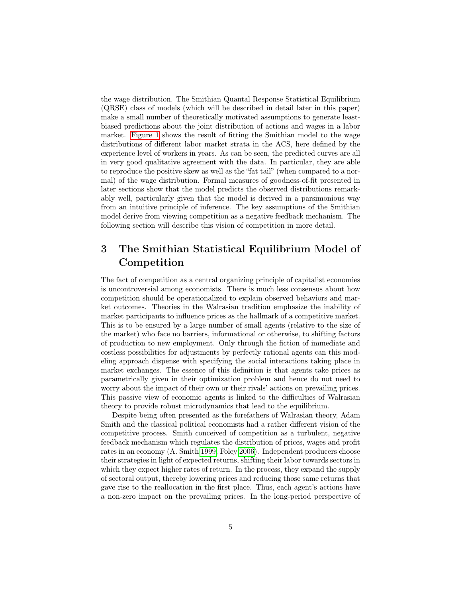the wage distribution. The Smithian Quantal Response Statistical Equilibrium (QRSE) class of models (which will be described in detail later in this paper) make a small number of theoretically motivated assumptions to generate leastbiased predictions about the joint distribution of actions and wages in a labor market. [Figure 1](#page-6-0) shows the result of fitting the Smithian model to the wage distributions of different labor market strata in the ACS, here defined by the experience level of workers in years. As can be seen, the predicted curves are all in very good qualitative agreement with the data. In particular, they are able to reproduce the positive skew as well as the "fat tail" (when compared to a normal) of the wage distribution. Formal measures of goodness-of-fit presented in later sections show that the model predicts the observed distributions remarkably well, particularly given that the model is derived in a parsimonious way from an intuitive principle of inference. The key assumptions of the Smithian model derive from viewing competition as a negative feedback mechanism. The following section will describe this vision of competition in more detail.

# 3 The Smithian Statistical Equilibrium Model of Competition

The fact of competition as a central organizing principle of capitalist economies is uncontroversial among economists. There is much less consensus about how competition should be operationalized to explain observed behaviors and market outcomes. Theories in the Walrasian tradition emphasize the inability of market participants to influence prices as the hallmark of a competitive market. This is to be ensured by a large number of small agents (relative to the size of the market) who face no barriers, informational or otherwise, to shifting factors of production to new employment. Only through the fiction of immediate and costless possibilities for adjustments by perfectly rational agents can this modeling approach dispense with specifying the social interactions taking place in market exchanges. The essence of this definition is that agents take prices as parametrically given in their optimization problem and hence do not need to worry about the impact of their own or their rivals' actions on prevailing prices. This passive view of economic agents is linked to the difficulties of Walrasian theory to provide robust microdynamics that lead to the equilibrium.

Despite being often presented as the forefathers of Walrasian theory, Adam Smith and the classical political economists had a rather different vision of the competitive process. Smith conceived of competition as a turbulent, negative feedback mechanism which regulates the distribution of prices, wages and profit rates in an economy (A. Smith [1999;](#page-27-1) Foley [2006\)](#page-25-3). Independent producers choose their strategies in light of expected returns, shifting their labor towards sectors in which they expect higher rates of return. In the process, they expand the supply of sectoral output, thereby lowering prices and reducing those same returns that gave rise to the reallocation in the first place. Thus, each agent's actions have a non-zero impact on the prevailing prices. In the long-period perspective of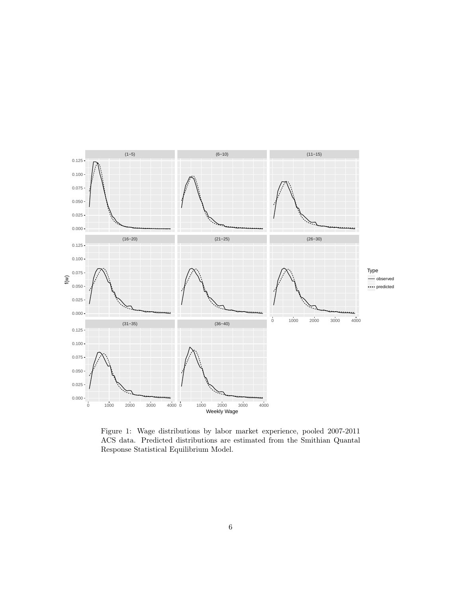

<span id="page-6-0"></span>Figure 1: Wage distributions by labor market experience, pooled 2007-2011 ACS data. Predicted distributions are estimated from the Smithian Quantal Response Statistical Equilibrium Model.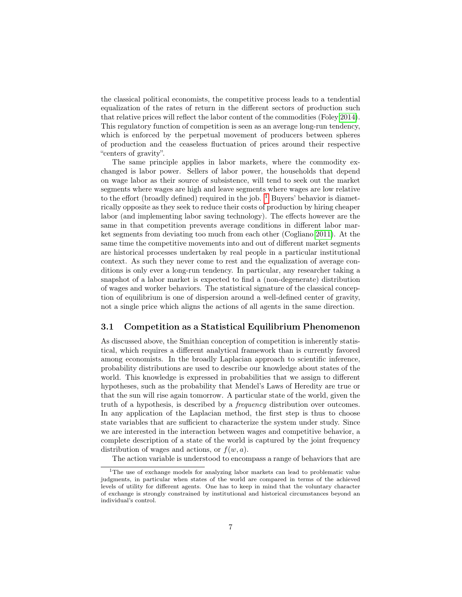the classical political economists, the competitive process leads to a tendential equalization of the rates of return in the different sectors of production such that relative prices will reflect the labor content of the commodities (Foley [2014\)](#page-26-1). This regulatory function of competition is seen as an average long-run tendency, which is enforced by the perpetual movement of producers between spheres of production and the ceaseless fluctuation of prices around their respective "centers of gravity".

The same principle applies in labor markets, where the commodity exchanged is labor power. Sellers of labor power, the households that depend on wage labor as their source of subsistence, will tend to seek out the market segments where wages are high and leave segments where wages are low relative to the effort (broadly defined) required in the job.  $1$  Buyers' behavior is diametrically opposite as they seek to reduce their costs of production by hiring cheaper labor (and implementing labor saving technology). The effects however are the same in that competition prevents average conditions in different labor market segments from deviating too much from each other (Cogliano [2011\)](#page-25-4). At the same time the competitive movements into and out of different market segments are historical processes undertaken by real people in a particular institutional context. As such they never come to rest and the equalization of average conditions is only ever a long-run tendency. In particular, any researcher taking a snapshot of a labor market is expected to find a (non-degenerate) distribution of wages and worker behaviors. The statistical signature of the classical conception of equilibrium is one of dispersion around a well-defined center of gravity, not a single price which aligns the actions of all agents in the same direction.

### 3.1 Competition as a Statistical Equilibrium Phenomenon

As discussed above, the Smithian conception of competition is inherently statistical, which requires a different analytical framework than is currently favored among economists. In the broadly Laplacian approach to scientific inference, probability distributions are used to describe our knowledge about states of the world. This knowledge is expressed in probabilities that we assign to different hypotheses, such as the probability that Mendel's Laws of Heredity are true or that the sun will rise again tomorrow. A particular state of the world, given the truth of a hypothesis, is described by a frequency distribution over outcomes. In any application of the Laplacian method, the first step is thus to choose state variables that are sufficient to characterize the system under study. Since we are interested in the interaction between wages and competitive behavior, a complete description of a state of the world is captured by the joint frequency distribution of wages and actions, or  $f(w, a)$ .

<span id="page-7-0"></span>The action variable is understood to encompass a range of behaviors that are

<sup>&</sup>lt;sup>1</sup>The use of exchange models for analyzing labor markets can lead to problematic value judgments, in particular when states of the world are compared in terms of the achieved levels of utility for different agents. One has to keep in mind that the voluntary character of exchange is strongly constrained by institutional and historical circumstances beyond an individual's control.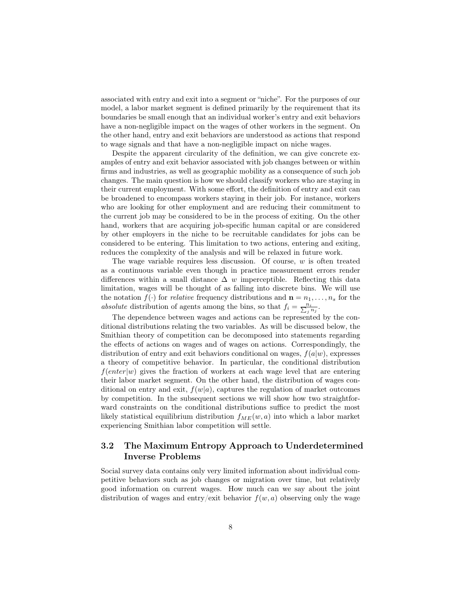associated with entry and exit into a segment or "niche". For the purposes of our model, a labor market segment is defined primarily by the requirement that its boundaries be small enough that an individual worker's entry and exit behaviors have a non-negligible impact on the wages of other workers in the segment. On the other hand, entry and exit behaviors are understood as actions that respond to wage signals and that have a non-negligible impact on niche wages.

Despite the apparent circularity of the definition, we can give concrete examples of entry and exit behavior associated with job changes between or within firms and industries, as well as geographic mobility as a consequence of such job changes. The main question is how we should classify workers who are staying in their current employment. With some effort, the definition of entry and exit can be broadened to encompass workers staying in their job. For instance, workers who are looking for other employment and are reducing their commitment to the current job may be considered to be in the process of exiting. On the other hand, workers that are acquiring job-specific human capital or are considered by other employers in the niche to be recruitable candidates for jobs can be considered to be entering. This limitation to two actions, entering and exiting, reduces the complexity of the analysis and will be relaxed in future work.

The wage variable requires less discussion. Of course,  $w$  is often treated as a continuous variable even though in practice measurement errors render differences within a small distance  $\Delta$  w imperceptible. Reflecting this data limitation, wages will be thought of as falling into discrete bins. We will use the notation  $f(\cdot)$  for *relative* frequency distributions and  $\mathbf{n} = n_1, \ldots, n_s$  for the absolute distribution of agents among the bins, so that  $f_i = \frac{n_i}{\sum_j n_j}$ .

The dependence between wages and actions can be represented by the conditional distributions relating the two variables. As will be discussed below, the Smithian theory of competition can be decomposed into statements regarding the effects of actions on wages and of wages on actions. Correspondingly, the distribution of entry and exit behaviors conditional on wages,  $f(a|w)$ , expresses a theory of competitive behavior. In particular, the conditional distribution  $f(enter|w)$  gives the fraction of workers at each wage level that are entering their labor market segment. On the other hand, the distribution of wages conditional on entry and exit,  $f(w|a)$ , captures the regulation of market outcomes by competition. In the subsequent sections we will show how two straightforward constraints on the conditional distributions suffice to predict the most likely statistical equilibrium distribution  $f_{ME}(w, a)$  into which a labor market experiencing Smithian labor competition will settle.

### 3.2 The Maximum Entropy Approach to Underdetermined Inverse Problems

Social survey data contains only very limited information about individual competitive behaviors such as job changes or migration over time, but relatively good information on current wages. How much can we say about the joint distribution of wages and entry/exit behavior  $f(w, a)$  observing only the wage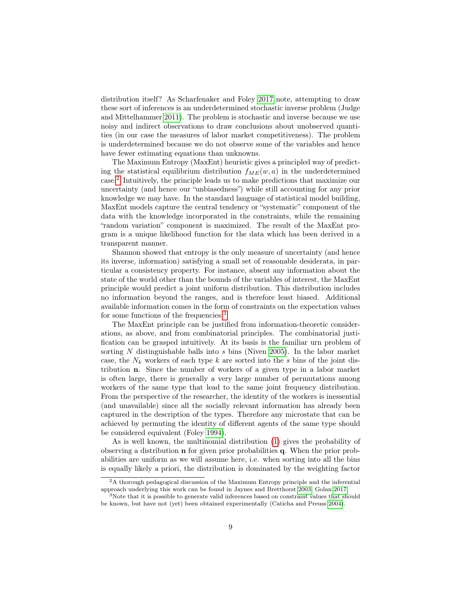distribution itself? As Scharfenaker and Foley [2017](#page-27-0) note, attempting to draw these sort of inferences is an underdetermined stochastic inverse problem (Judge and Mittelhammer [2011\)](#page-26-4). The problem is stochastic and inverse because we use noisy and indirect observations to draw conclusions about unobserved quantities (in our case the measures of labor market competitiveness). The problem is underdetermined because we do not observe some of the variables and hence have fewer estimating equations than unknowns.

The Maximum Entropy (MaxEnt) heuristic gives a principled way of predicting the statistical equilibrium distribution  $f_{ME}(w, a)$  in the underdetermined case.[2](#page-9-0) Intuitively, the principle leads us to make predictions that maximize our uncertainty (and hence our "unbiasedness") while still accounting for any prior knowledge we may have. In the standard language of statistical model building, MaxEnt models capture the central tendency or "systematic" component of the data with the knowledge incorporated in the constraints, while the remaining "random variation" component is maximized. The result of the MaxEnt program is a unique likelihood function for the data which has been derived in a transparent manner.

Shannon showed that entropy is the only measure of uncertainty (and hence its inverse, information) satisfying a small set of reasonable desiderata, in particular a consistency property. For instance, absent any information about the state of the world other than the bounds of the variables of interest, the MaxEnt principle would predict a joint uniform distribution. This distribution includes no information beyond the ranges, and is therefore least biased. Additional available information comes in the form of constraints on the expectation values for some functions of the frequencies.[3](#page-9-1)

The MaxEnt principle can be justified from information-theoretic considerations, as above, and from combinatorial principles. The combinatorial justification can be grasped intuitively. At its basis is the familiar urn problem of sorting  $N$  distinguishable balls into  $s$  bins (Niven [2005\)](#page-26-5). In the labor market case, the  $N_k$  workers of each type k are sorted into the s bins of the joint distribution n. Since the number of workers of a given type in a labor market is often large, there is generally a very large number of permutations among workers of the same type that lead to the same joint frequency distribution. From the perspective of the researcher, the identity of the workers is inessential (and unavailable) since all the socially relevant information has already been captured in the description of the types. Therefore any microstate that can be achieved by permuting the identity of different agents of the same type should be considered equivalent (Foley [1994\)](#page-25-5).

As is well known, the multinomial distribution [\(1\)](#page-10-0) gives the probability of observing a distribution n for given prior probabilities q. When the prior probabilities are uniform as we will assume here, i.e. when sorting into all the bins is equally likely a priori, the distribution is dominated by the weighting factor

<span id="page-9-0"></span><sup>2</sup>A thorough pedagogical discussion of the Maximum Entropy principle and the inferential approach underlying this work can be found in Jaynes and Bretthorst [2003;](#page-26-6) Golan [2017.](#page-26-7)

<span id="page-9-1"></span> $3$ Note that it is possible to generate valid inferences based on constraint values that should be known, but have not (yet) been obtained experimentally (Caticha and Preuss [2004\)](#page-25-6).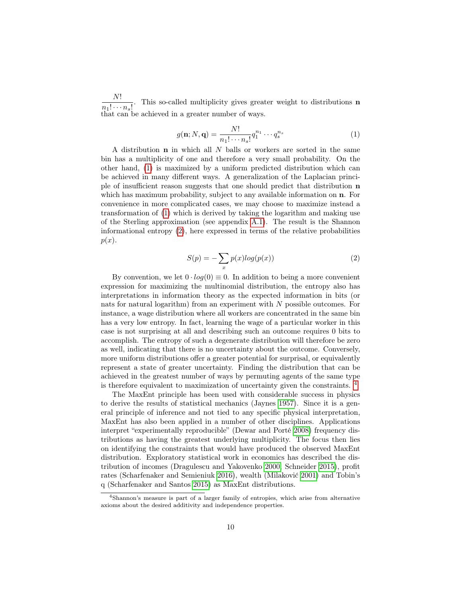N!  $\frac{n_1! \cdots n_s!}{n_1! \cdots n_s!}$ . This so-called multiplicity gives greater weight to distributions **n** that can be achieved in a greater number of ways.

<span id="page-10-0"></span>
$$
g(\mathbf{n}; N, \mathbf{q}) = \frac{N!}{n_1! \cdots n_s!} q_1^{n_1} \cdots q_s^{n_s} \tag{1}
$$

A distribution  $n$  in which all  $N$  balls or workers are sorted in the same bin has a multiplicity of one and therefore a very small probability. On the other hand, [\(1\)](#page-10-0) is maximized by a uniform predicted distribution which can be achieved in many different ways. A generalization of the Laplacian principle of insufficient reason suggests that one should predict that distribution n which has maximum probability, subject to any available information on  $n$ . For convenience in more complicated cases, we may choose to maximize instead a transformation of [\(1\)](#page-10-0) which is derived by taking the logarithm and making use of the Sterling approximation (see appendix [A.1\)](#page-28-0). The result is the Shannon informational entropy [\(2\)](#page-10-1), here expressed in terms of the relative probabilities  $p(x)$ .

<span id="page-10-1"></span>
$$
S(p) = -\sum_{x} p(x)log(p(x))
$$
\n(2)

By convention, we let  $0 \cdot \log(0) \equiv 0$ . In addition to being a more convenient expression for maximizing the multinomial distribution, the entropy also has interpretations in information theory as the expected information in bits (or nats for natural logarithm) from an experiment with N possible outcomes. For instance, a wage distribution where all workers are concentrated in the same bin has a very low entropy. In fact, learning the wage of a particular worker in this case is not surprising at all and describing such an outcome requires 0 bits to accomplish. The entropy of such a degenerate distribution will therefore be zero as well, indicating that there is no uncertainty about the outcome. Conversely, more uniform distributions offer a greater potential for surprisal, or equivalently represent a state of greater uncertainty. Finding the distribution that can be achieved in the greatest number of ways by permuting agents of the same type is therefore equivalent to maximization of uncertainty given the constraints. [4](#page-10-2)

The MaxEnt principle has been used with considerable success in physics to derive the results of statistical mechanics (Jaynes [1957\)](#page-26-8). Since it is a general principle of inference and not tied to any specific physical interpretation, MaxEnt has also been applied in a number of other disciplines. Applications interpret "experimentally reproducible" (Dewar and Porté [2008\)](#page-25-7) frequency distributions as having the greatest underlying multiplicity. The focus then lies on identifying the constraints that would have produced the observed MaxEnt distribution. Exploratory statistical work in economics has described the distribution of incomes (Dragulescu and Yakovenko [2000;](#page-25-8) Schneider [2015\)](#page-27-2), profit rates (Scharfenaker and Semieniuk [2016\)](#page-27-3), wealth (Milaković [2001\)](#page-26-9) and Tobin's q (Scharfenaker and Santos [2015\)](#page-27-4) as MaxEnt distributions.

<span id="page-10-2"></span><sup>4</sup>Shannon's measure is part of a larger family of entropies, which arise from alternative axioms about the desired additivity and independence properties.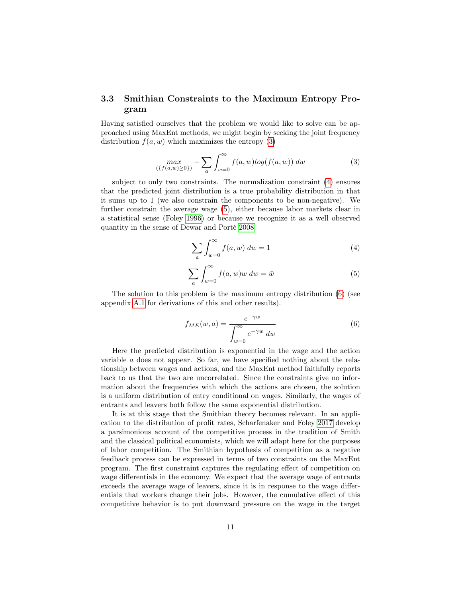### 3.3 Smithian Constraints to the Maximum Entropy Program

Having satisfied ourselves that the problem we would like to solve can be approached using MaxEnt methods, we might begin by seeking the joint frequency distribution  $f(a, w)$  which maximizes the entropy [\(3\)](#page-11-0)

<span id="page-11-0"></span>
$$
\max_{(\{f(a,w)\ge 0\})} - \sum_{a} \int_{w=0}^{\infty} f(a,w) \log(f(a,w)) \ dw \tag{3}
$$

subject to only two constraints. The normalization constraint [\(4\)](#page-11-1) ensures that the predicted joint distribution is a true probability distribution in that it sums up to 1 (we also constrain the components to be non-negative). We further constrain the average wage [\(5\)](#page-11-2), either because labor markets clear in a statistical sense (Foley [1996\)](#page-25-9) or because we recognize it as a well observed quantity in the sense of Dewar and Porté [2008.](#page-25-7)

<span id="page-11-1"></span>
$$
\sum_{a} \int_{w=0}^{\infty} f(a, w) dw = 1
$$
\n(4)

<span id="page-11-2"></span>
$$
\sum_{a} \int_{w=0}^{\infty} f(a, w) w dw = \bar{w}
$$
 (5)

The solution to this problem is the maximum entropy distribution [\(6\)](#page-11-3) (see appendix [A.1](#page-28-0) for derivations of this and other results).

<span id="page-11-3"></span>
$$
f_{ME}(w, a) = \frac{e^{-\gamma w}}{\int_{w=0}^{\infty} e^{-\gamma w} dw}
$$
(6)

Here the predicted distribution is exponential in the wage and the action variable a does not appear. So far, we have specified nothing about the relationship between wages and actions, and the MaxEnt method faithfully reports back to us that the two are uncorrelated. Since the constraints give no information about the frequencies with which the actions are chosen, the solution is a uniform distribution of entry conditional on wages. Similarly, the wages of entrants and leavers both follow the same exponential distribution.

It is at this stage that the Smithian theory becomes relevant. In an application to the distribution of profit rates, Scharfenaker and Foley [2017](#page-27-0) develop a parsimonious account of the competitive process in the tradition of Smith and the classical political economists, which we will adapt here for the purposes of labor competition. The Smithian hypothesis of competition as a negative feedback process can be expressed in terms of two constraints on the MaxEnt program. The first constraint captures the regulating effect of competition on wage differentials in the economy. We expect that the average wage of entrants exceeds the average wage of leavers, since it is in response to the wage differentials that workers change their jobs. However, the cumulative effect of this competitive behavior is to put downward pressure on the wage in the target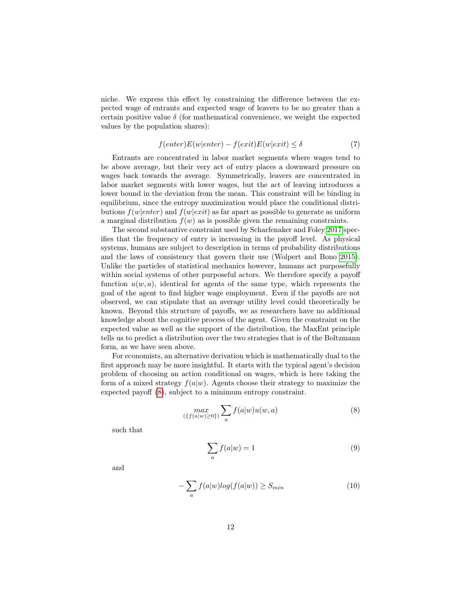niche. We express this effect by constraining the difference between the expected wage of entrants and expected wage of leavers to be no greater than a certain positive value  $\delta$  (for mathematical convenience, we weight the expected values by the population shares):

<span id="page-12-2"></span>
$$
f(enter)E(w|enter) - f(exit)E(w|exit) \le \delta
$$
\n(7)

Entrants are concentrated in labor market segments where wages tend to be above average, but their very act of entry places a downward pressure on wages back towards the average. Symmetrically, leavers are concentrated in labor market segments with lower wages, but the act of leaving introduces a lower bound in the deviation from the mean. This constraint will be binding in equilibrium, since the entropy maximization would place the conditional distributions  $f(w|enter)$  and  $f(w|exit)$  as far apart as possible to generate as uniform a marginal distribution  $f(w)$  as is possible given the remaining constraints.

The second substantive constraint used by Scharfenaker and Foley [2017](#page-27-0) specifies that the frequency of entry is increasing in the payoff level. As physical systems, humans are subject to description in terms of probability distributions and the laws of consistency that govern their use (Wolpert and Bono [2015\)](#page-28-1). Unlike the particles of statistical mechanics however, humans act purposefully within social systems of other purposeful actors. We therefore specify a payoff function  $u(w, a)$ , identical for agents of the same type, which represents the goal of the agent to find higher wage employment. Even if the payoffs are not observed, we can stipulate that an average utility level could theoretically be known. Beyond this structure of payoffs, we as researchers have no additional knowledge about the cognitive process of the agent. Given the constraint on the expected value as well as the support of the distribution, the MaxEnt principle tells us to predict a distribution over the two strategies that is of the Boltzmann form, as we have seen above.

For economists, an alternative derivation which is mathematically dual to the first approach may be more insightful. It starts with the typical agent's decision problem of choosing an action conditional on wages, which is here taking the form of a mixed strategy  $f(a|w)$ . Agents choose their strategy to maximize the expected payoff [\(8\)](#page-12-0), subject to a minimum entropy constraint.

<span id="page-12-0"></span>
$$
\max_{(\{f(a|w)\ge 0\})} \sum_{a} f(a|w) u(w, a) \tag{8}
$$

such that

$$
\sum_{a} f(a|w) = 1 \tag{9}
$$

and

<span id="page-12-1"></span>
$$
-\sum_{a} f(a|w)log(f(a|w)) \ge S_{min} \tag{10}
$$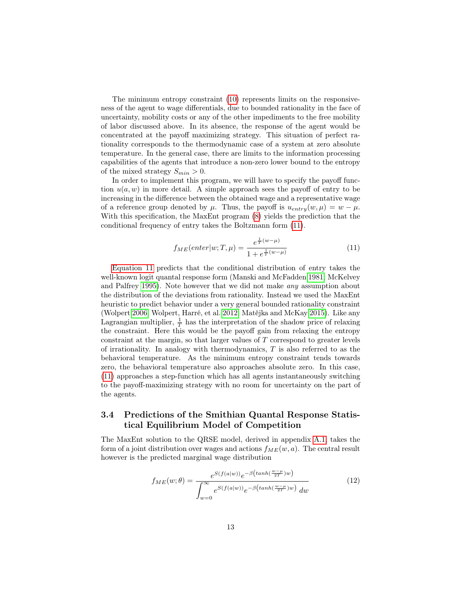The minimum entropy constraint [\(10\)](#page-12-1) represents limits on the responsiveness of the agent to wage differentials, due to bounded rationality in the face of uncertainty, mobility costs or any of the other impediments to the free mobility of labor discussed above. In its absence, the response of the agent would be concentrated at the payoff maximizing strategy. This situation of perfect rationality corresponds to the thermodynamic case of a system at zero absolute temperature. In the general case, there are limits to the information processing capabilities of the agents that introduce a non-zero lower bound to the entropy of the mixed strategy  $S_{min} > 0$ .

In order to implement this program, we will have to specify the payoff function  $u(a, w)$  in more detail. A simple approach sees the payoff of entry to be increasing in the difference between the obtained wage and a representative wage of a reference group denoted by  $\mu$ . Thus, the payoff is  $u_{entry}(w, \mu) = w - \mu$ . With this specification, the MaxEnt program [\(8\)](#page-12-0) yields the prediction that the conditional frequency of entry takes the Boltzmann form [\(11\)](#page-13-0).

<span id="page-13-0"></span>
$$
f_{ME}(enter|w;T,\mu) = \frac{e^{\frac{1}{T}(w-\mu)}}{1 + e^{\frac{1}{T}(w-\mu)}}
$$
(11)

[Equation 11](#page-13-0) predicts that the conditional distribution of entry takes the well-known logit quantal response form (Manski and McFadden [1981;](#page-26-10) McKelvey and Palfrey [1995\)](#page-26-11). Note however that we did not make any assumption about the distribution of the deviations from rationality. Instead we used the MaxEnt heuristic to predict behavior under a very general bounded rationality constraint (Wolpert [2006;](#page-28-2) Wolpert, Harré, et al. [2012;](#page-28-3) Matějka and McKay [2015\)](#page-26-12). Like any Lagrangian multiplier,  $\frac{1}{T}$  has the interpretation of the shadow price of relaxing the constraint. Here this would be the payoff gain from relaxing the entropy constraint at the margin, so that larger values of T correspond to greater levels of irrationality. In analogy with thermodynamics,  $T$  is also referred to as the behavioral temperature. As the minimum entropy constraint tends towards zero, the behavioral temperature also approaches absolute zero. In this case, [\(11\)](#page-13-0) approaches a step-function which has all agents instantaneously switching to the payoff-maximizing strategy with no room for uncertainty on the part of the agents.

### 3.4 Predictions of the Smithian Quantal Response Statistical Equilibrium Model of Competition

The MaxEnt solution to the QRSE model, derived in appendix [A.1,](#page-28-0) takes the form of a joint distribution over wages and actions  $f_{ME}(w, a)$ . The central result however is the predicted marginal wage distribution

<span id="page-13-1"></span>
$$
f_{ME}(w; \theta) = \frac{e^{S(f(a|w))}e^{-\beta\left(\tanh(\frac{w-\mu}{2T})w\right)}}{\int_{w=0}^{\infty} e^{S(f(a|w))}e^{-\beta\left(\tanh(\frac{w-\mu}{2T})w\right)} dw}
$$
(12)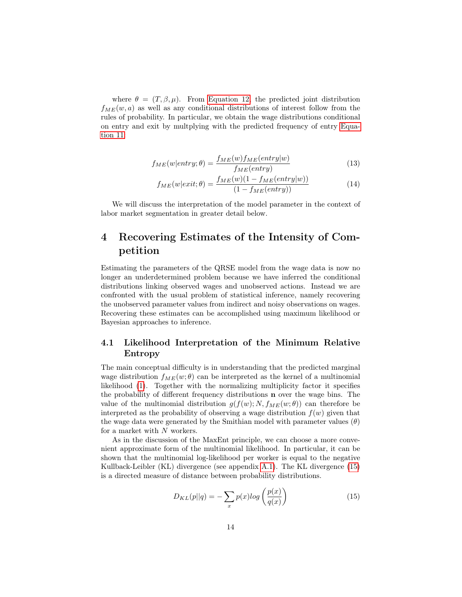where  $\theta = (T, \beta, \mu)$ . From [Equation 12,](#page-13-1) the predicted joint distribution  $f_{ME}(w, a)$  as well as any conditional distributions of interest follow from the rules of probability. In particular, we obtain the wage distributions conditional on entry and exit by multplying with the predicted frequency of entry [Equa](#page-13-0)[tion 11:](#page-13-0)

$$
f_{ME}(w|entry; \theta) = \frac{f_{ME}(w)f_{ME}(entry|w)}{f_{ME}(entry)}
$$
\n(13)

$$
f_{ME}(w|exit; \theta) = \frac{f_{ME}(w)(1 - f_{ME}(entry|w))}{(1 - f_{ME}(entry))}
$$
\n(14)

We will discuss the interpretation of the model parameter in the context of labor market segmentation in greater detail below.

# 4 Recovering Estimates of the Intensity of Competition

Estimating the parameters of the QRSE model from the wage data is now no longer an underdetermined problem because we have inferred the conditional distributions linking observed wages and unobserved actions. Instead we are confronted with the usual problem of statistical inference, namely recovering the unobserved parameter values from indirect and noisy observations on wages. Recovering these estimates can be accomplished using maximum likelihood or Bayesian approaches to inference.

### 4.1 Likelihood Interpretation of the Minimum Relative Entropy

The main conceptual difficulty is in understanding that the predicted marginal wage distribution  $f_{ME}(w; \theta)$  can be interpreted as the kernel of a multinomial likelihood [\(1\)](#page-10-0). Together with the normalizing multiplicity factor it specifies the probability of different frequency distributions n over the wage bins. The value of the multinomial distribution  $g(f(w); N, f_{ME}(w; \theta))$  can therefore be interpreted as the probability of observing a wage distribution  $f(w)$  given that the wage data were generated by the Smithian model with parameter values  $(\theta)$ for a market with  $N$  workers.

As in the discussion of the MaxEnt principle, we can choose a more convenient approximate form of the multinomial likelihood. In particular, it can be shown that the multinomial log-likelihood per worker is equal to the negative Kullback-Leibler (KL) divergence (see appendix [A.1\)](#page-28-0). The KL divergence [\(15\)](#page-14-0) is a directed measure of distance between probability distributions.

<span id="page-14-0"></span>
$$
D_{KL}(p||q) = -\sum_{x} p(x)log\left(\frac{p(x)}{q(x)}\right)
$$
\n(15)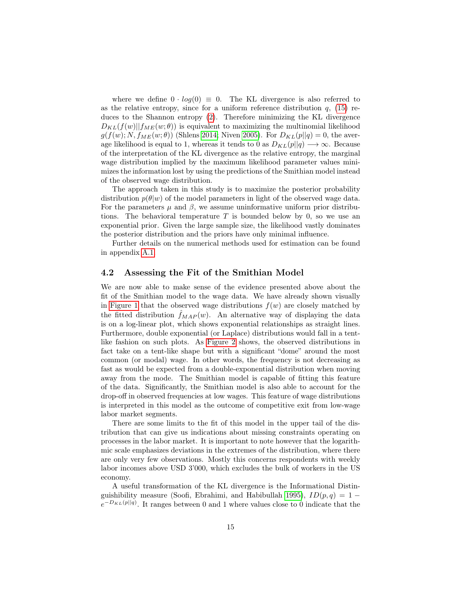where we define  $0 \cdot log(0) \equiv 0$ . The KL divergence is also referred to as the relative entropy, since for a uniform reference distribution  $q$ , [\(15\)](#page-14-0) reduces to the Shannon entropy [\(2\)](#page-10-1). Therefore minimizing the KL divergence  $D_{KL}(f(w)||f_{ME}(w; \theta))$  is equivalent to maximizing the multinomial likelihood  $g(f(w); N, f_{ME}(w; \theta))$  (Shlens [2014;](#page-27-5) Niven [2005\)](#page-26-5). For  $D_{KL}(p||q) = 0$ , the average likelihood is equal to 1, whereas it tends to 0 as  $D_{KL}(p||q) \longrightarrow \infty$ . Because of the interpretation of the KL divergence as the relative entropy, the marginal wage distribution implied by the maximum likelihood parameter values minimizes the information lost by using the predictions of the Smithian model instead of the observed wage distribution.

The approach taken in this study is to maximize the posterior probability distribution  $p(\theta|w)$  of the model parameters in light of the observed wage data. For the parameters  $\mu$  and  $\beta$ , we assume uninformative uniform prior distributions. The behavioral temperature  $T$  is bounded below by 0, so we use an exponential prior. Given the large sample size, the likelihood vastly dominates the posterior distribution and the priors have only minimal influence.

Further details on the numerical methods used for estimation can be found in appendix [A.1.](#page-28-0)

#### 4.2 Assessing the Fit of the Smithian Model

We are now able to make sense of the evidence presented above about the fit of the Smithian model to the wage data. We have already shown visually in [Figure 1](#page-6-0) that the observed wage distributions  $f(w)$  are closely matched by the fitted distribution  $f_{MAP}(w)$ . An alternative way of displaying the data is on a log-linear plot, which shows exponential relationships as straight lines. Furthermore, double exponential (or Laplace) distributions would fall in a tentlike fashion on such plots. As [Figure 2](#page-16-0) shows, the observed distributions in fact take on a tent-like shape but with a significant "dome" around the most common (or modal) wage. In other words, the frequency is not decreasing as fast as would be expected from a double-exponential distribution when moving away from the mode. The Smithian model is capable of fitting this feature of the data. Significantly, the Smithian model is also able to account for the drop-off in observed frequencies at low wages. This feature of wage distributions is interpreted in this model as the outcome of competitive exit from low-wage labor market segments.

There are some limits to the fit of this model in the upper tail of the distribution that can give us indications about missing constraints operating on processes in the labor market. It is important to note however that the logarithmic scale emphasizes deviations in the extremes of the distribution, where there are only very few observations. Mostly this concerns respondents with weekly labor incomes above USD 3'000, which excludes the bulk of workers in the US economy.

A useful transformation of the KL divergence is the Informational Distin-guishibility measure (Soofi, Ebrahimi, and Habibullah [1995\)](#page-27-6),  $ID(p, q) = 1$  $e^{-D_{KL}(p||q)}$ . It ranges between 0 and 1 where values close to 0 indicate that the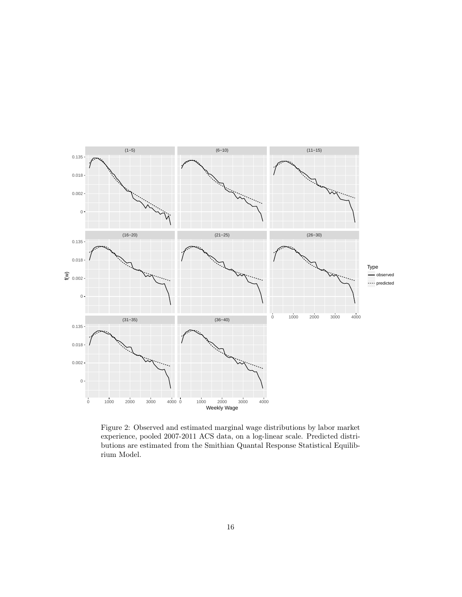

<span id="page-16-0"></span>Figure 2: Observed and estimated marginal wage distributions by labor market experience, pooled 2007-2011 ACS data, on a log-linear scale. Predicted distributions are estimated from the Smithian Quantal Response Statistical Equilibrium Model.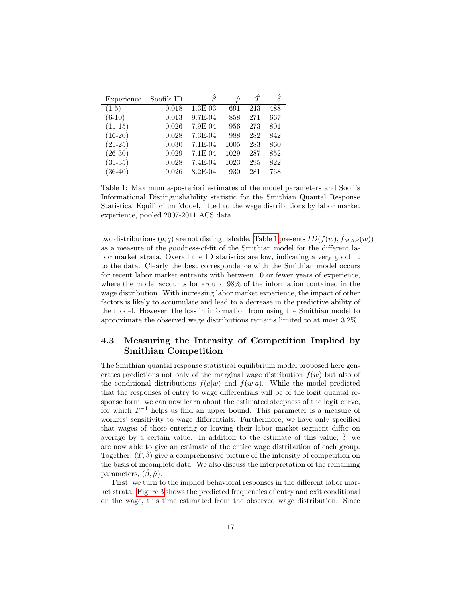| Experience | Soofi's ID | ß           | $\hat{\mu}$ | Ť   |     |
|------------|------------|-------------|-------------|-----|-----|
| $(1-5)$    | 0.018      | $1.3E-03$   | 691         | 243 | 488 |
| $(6-10)$   | 0.013      | 9.7E-04     | 858         | 271 | 667 |
| $(11-15)$  | 0.026      | 7.9E-04     | 956         | 273 | 801 |
| $(16-20)$  | 0.028      | $7.3E-04$   | 988         | 282 | 842 |
| $(21-25)$  | 0.030      | $7.1E-04$   | 1005        | 283 | 860 |
| $(26-30)$  | 0.029      | $7.1E-04$   | 1029        | 287 | 852 |
| $(31-35)$  | 0.028      | $7.4E-04$   | 1023        | 295 | 822 |
| $(36-40)$  | 0.026      | $8.2E - 04$ | 930         | 281 | 768 |

<span id="page-17-0"></span>Table 1: Maximum a-posteriori estimates of the model parameters and Soofi's Informational Distinguishability statistic for the Smithian Quantal Response Statistical Equilibrium Model, fitted to the wage distributions by labor market experience, pooled 2007-2011 ACS data.

two distributions  $(p, q)$  are not distinguishable. [Table 1](#page-17-0) presents  $ID(f(w), \hat{f}_{MAP}(w))$ as a measure of the goodness-of-fit of the Smithian model for the different labor market strata. Overall the ID statistics are low, indicating a very good fit to the data. Clearly the best correspondence with the Smithian model occurs for recent labor market entrants with between 10 or fewer years of experience, where the model accounts for around 98% of the information contained in the wage distribution. With increasing labor market experience, the impact of other factors is likely to accumulate and lead to a decrease in the predictive ability of the model. However, the loss in information from using the Smithian model to approximate the observed wage distributions remains limited to at most 3.2%.

### 4.3 Measuring the Intensity of Competition Implied by Smithian Competition

The Smithian quantal response statistical equilibrium model proposed here generates predictions not only of the marginal wage distribution  $f(w)$  but also of the conditional distributions  $f(a|w)$  and  $f(w|a)$ . While the model predicted that the responses of entry to wage differentials will be of the logit quantal response form, we can now learn about the estimated steepness of the logit curve, for which  $\hat{T}^{-1}$  helps us find an upper bound. This parameter is a measure of workers' sensitivity to wage differentials. Furthermore, we have only specified that wages of those entering or leaving their labor market segment differ on average by a certain value. In addition to the estimate of this value,  $\delta$ , we are now able to give an estimate of the entire wage distribution of each group. Together,  $(\hat{T}, \delta)$  give a comprehensive picture of the intensity of competition on the basis of incomplete data. We also discuss the interpretation of the remaining parameters,  $(\hat{\beta}, \hat{\mu})$ .

First, we turn to the implied behavioral responses in the different labor market strata. [Figure 3](#page-19-0) shows the predicted frequencies of entry and exit conditional on the wage, this time estimated from the observed wage distribution. Since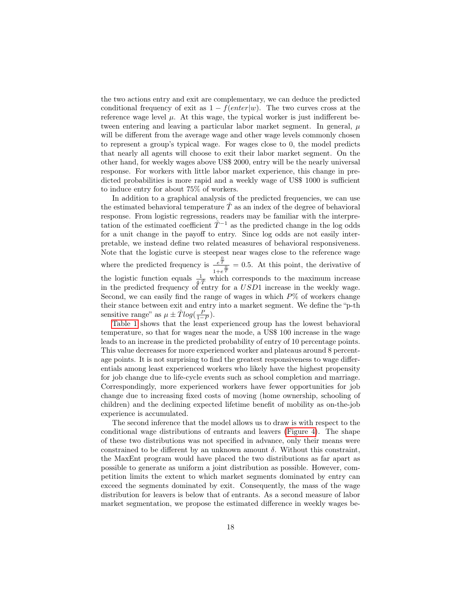the two actions entry and exit are complementary, we can deduce the predicted conditional frequency of exit as  $1 - f(enter|w)$ . The two curves cross at the reference wage level  $\mu$ . At this wage, the typical worker is just indifferent between entering and leaving a particular labor market segment. In general,  $\mu$ will be different from the average wage and other wage levels commonly chosen to represent a group's typical wage. For wages close to 0, the model predicts that nearly all agents will choose to exit their labor market segment. On the other hand, for weekly wages above US\$ 2000, entry will be the nearly universal response. For workers with little labor market experience, this change in predicted probabilities is more rapid and a weekly wage of US\$ 1000 is sufficient to induce entry for about 75% of workers.

In addition to a graphical analysis of the predicted frequencies, we can use the estimated behavioral temperature  $\ddot{T}$  as an index of the degree of behavioral response. From logistic regressions, readers may be familiar with the interpretation of the estimated coefficient  $\hat{T}^{-1}$  as the predicted change in the log odds for a unit change in the payoff to entry. Since log odds are not easily interpretable, we instead define two related measures of behavioral responsiveness. Note that the logistic curve is steepest near wages close to the reference wage where the predicted frequency is  $e^{\frac{Q}{T}}$  $\frac{e^T}{1+e^T} = 0.5$ . At this point, the derivative of the logistic function equals  $\frac{1}{4 \cdot \hat{T}}$  which corresponds to the maximum increase<br>in the predicted frequency of entry for a USD1 increase in the weekly wage. Second, we can easily find the range of wages in which  $P\%$  of workers change their stance between exit and entry into a market segment. We define the "p-th sensitive range" as  $\mu \pm \hat{T} log(\frac{P}{1-P}).$ 

[Table 1](#page-17-0) shows that the least experienced group has the lowest behavioral temperature, so that for wages near the mode, a US\$ 100 increase in the wage leads to an increase in the predicted probability of entry of 10 percentage points. This value decreases for more experienced worker and plateaus around 8 percentage points. It is not surprising to find the greatest responsiveness to wage differentials among least experienced workers who likely have the highest propensity for job change due to life-cycle events such as school completion and marriage. Correspondingly, more experienced workers have fewer opportunities for job change due to increasing fixed costs of moving (home ownership, schooling of children) and the declining expected lifetime benefit of mobility as on-the-job experience is accumulated.

The second inference that the model allows us to draw is with respect to the conditional wage distributions of entrants and leavers [\(Figure 4\)](#page-21-0). The shape of these two distributions was not specified in advance, only their means were constrained to be different by an unknown amount  $\delta$ . Without this constraint, the MaxEnt program would have placed the two distributions as far apart as possible to generate as uniform a joint distribution as possible. However, competition limits the extent to which market segments dominated by entry can exceed the segments dominated by exit. Consequently, the mass of the wage distribution for leavers is below that of entrants. As a second measure of labor market segmentation, we propose the estimated difference in weekly wages be-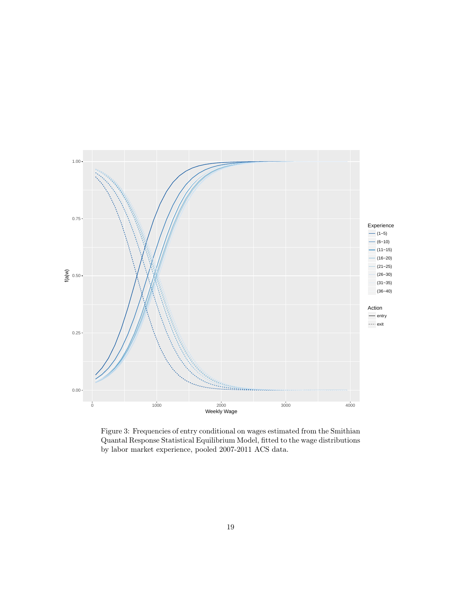

<span id="page-19-0"></span>Figure 3: Frequencies of entry conditional on wages estimated from the Smithian Quantal Response Statistical Equilibrium Model, fitted to the wage distributions by labor market experience, pooled 2007-2011 ACS data.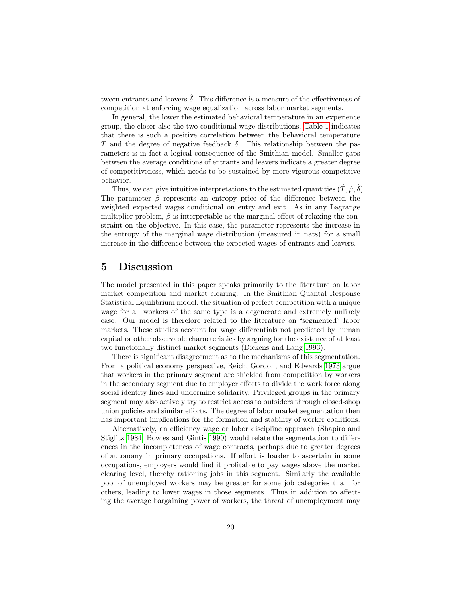tween entrants and leavers  $\hat{\delta}$ . This difference is a measure of the effectiveness of competition at enforcing wage equalization across labor market segments.

In general, the lower the estimated behavioral temperature in an experience group, the closer also the two conditional wage distributions. [Table 1](#page-17-0) indicates that there is such a positive correlation between the behavioral temperature T and the degree of negative feedback  $\delta$ . This relationship between the parameters is in fact a logical consequence of the Smithian model. Smaller gaps between the average conditions of entrants and leavers indicate a greater degree of competitiveness, which needs to be sustained by more vigorous competitive behavior.

Thus, we can give intuitive interpretations to the estimated quantities  $(\hat{T}, \hat{\mu}, \hat{\delta})$ . The parameter  $\beta$  represents an entropy price of the difference between the weighted expected wages conditional on entry and exit. As in any Lagrange multiplier problem,  $\beta$  is interpretable as the marginal effect of relaxing the constraint on the objective. In this case, the parameter represents the increase in the entropy of the marginal wage distribution (measured in nats) for a small increase in the difference between the expected wages of entrants and leavers.

### 5 Discussion

The model presented in this paper speaks primarily to the literature on labor market competition and market clearing. In the Smithian Quantal Response Statistical Equilibrium model, the situation of perfect competition with a unique wage for all workers of the same type is a degenerate and extremely unlikely case. Our model is therefore related to the literature on "segmented" labor markets. These studies account for wage differentials not predicted by human capital or other observable characteristics by arguing for the existence of at least two functionally distinct market segments (Dickens and Lang [1993\)](#page-25-10).

There is significant disagreement as to the mechanisms of this segmentation. From a political economy perspective, Reich, Gordon, and Edwards [1973](#page-27-7) argue that workers in the primary segment are shielded from competition by workers in the secondary segment due to employer efforts to divide the work force along social identity lines and undermine solidarity. Privileged groups in the primary segment may also actively try to restrict access to outsiders through closed-shop union policies and similar efforts. The degree of labor market segmentation then has important implications for the formation and stability of worker coalitions.

Alternatively, an efficiency wage or labor discipline approach (Shapiro and Stiglitz [1984;](#page-27-8) Bowles and Gintis [1990\)](#page-25-11) would relate the segmentation to differences in the incompleteness of wage contracts, perhaps due to greater degrees of autonomy in primary occupations. If effort is harder to ascertain in some occupations, employers would find it profitable to pay wages above the market clearing level, thereby rationing jobs in this segment. Similarly the available pool of unemployed workers may be greater for some job categories than for others, leading to lower wages in those segments. Thus in addition to affecting the average bargaining power of workers, the threat of unemployment may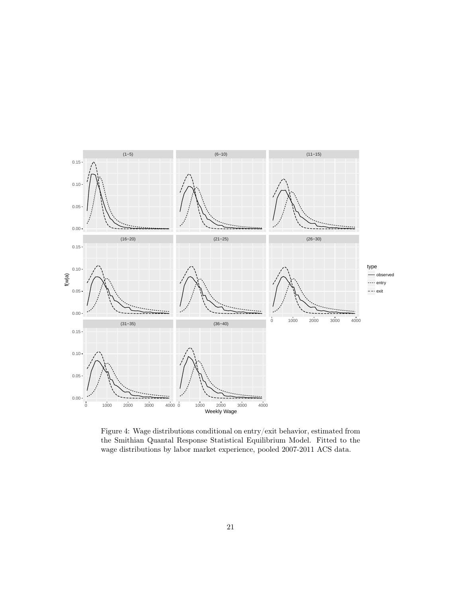

<span id="page-21-0"></span>Figure 4: Wage distributions conditional on entry/exit behavior, estimated from the Smithian Quantal Response Statistical Equilibrium Model. Fitted to the wage distributions by labor market experience, pooled 2007-2011 ACS data.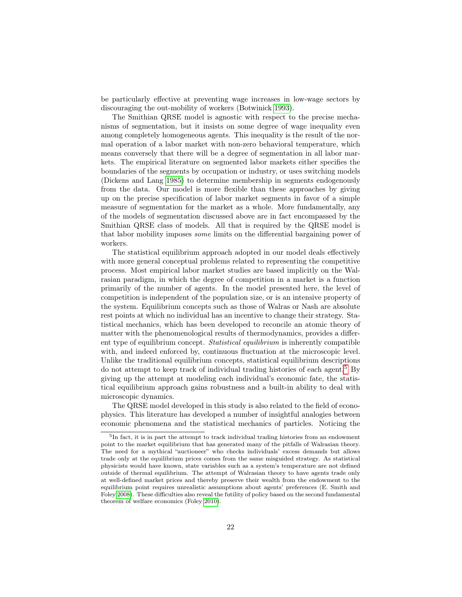be particularly effective at preventing wage increases in low-wage sectors by discouraging the out-mobility of workers (Botwinick [1993\)](#page-25-12).

The Smithian QRSE model is agnostic with respect to the precise mechanisms of segmentation, but it insists on some degree of wage inequality even among completely homogeneous agents. This inequality is the result of the normal operation of a labor market with non-zero behavioral temperature, which means conversely that there will be a degree of segmentation in all labor markets. The empirical literature on segmented labor markets either specifies the boundaries of the segments by occupation or industry, or uses switching models (Dickens and Lang [1985\)](#page-25-13) to determine membership in segments endogenously from the data. Our model is more flexible than these approaches by giving up on the precise specification of labor market segments in favor of a simple measure of segmentation for the market as a whole. More fundamentally, any of the models of segmentation discussed above are in fact encompassed by the Smithian QRSE class of models. All that is required by the QRSE model is that labor mobility imposes some limits on the differential bargaining power of workers.

The statistical equilibrium approach adopted in our model deals effectively with more general conceptual problems related to representing the competitive process. Most empirical labor market studies are based implicitly on the Walrasian paradigm, in which the degree of competition in a market is a function primarily of the number of agents. In the model presented here, the level of competition is independent of the population size, or is an intensive property of the system. Equilibrium concepts such as those of Walras or Nash are absolute rest points at which no individual has an incentive to change their strategy. Statistical mechanics, which has been developed to reconcile an atomic theory of matter with the phenomenological results of thermodynamics, provides a different type of equilibrium concept. Statistical equilibrium is inherently compatible with, and indeed enforced by, continuous fluctuation at the microscopic level. Unlike the traditional equilibrium concepts, statistical equilibrium descriptions do not attempt to keep track of individual trading histories of each agent.<sup>[5](#page-22-0)</sup> By giving up the attempt at modeling each individual's economic fate, the statistical equilibrium approach gains robustness and a built-in ability to deal with microscopic dynamics.

The QRSE model developed in this study is also related to the field of econophysics. This literature has developed a number of insightful analogies between economic phenomena and the statistical mechanics of particles. Noticing the

<span id="page-22-0"></span><sup>&</sup>lt;sup>5</sup>In fact, it is in part the attempt to track individual trading histories from an endowment point to the market equilibrium that has generated many of the pitfalls of Walrasian theory. The need for a mythical "auctioneer" who checks individuals' excess demands but allows trade only at the equilibrium prices comes from the same misguided strategy. As statistical physicists would have known, state variables such as a system's temperature are not defined outside of thermal equilibrium. The attempt of Walrasian theory to have agents trade only at well-defined market prices and thereby preserve their wealth from the endowment to the equilibrium point requires unrealistic assumptions about agents' preferences (E. Smith and Foley [2008\)](#page-27-9). These difficulties also reveal the futility of policy based on the second fundamental theorem of welfare economics (Foley [2010\)](#page-25-14).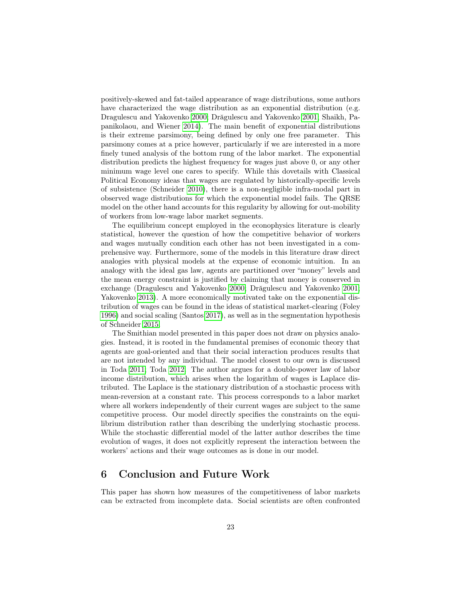positively-skewed and fat-tailed appearance of wage distributions, some authors have characterized the wage distribution as an exponential distribution (e.g. Dragulescu and Yakovenko [2000;](#page-25-8) Drăgulescu and Yakovenko [2001;](#page-25-15) Shaikh, Papanikolaou, and Wiener [2014\)](#page-27-10). The main benefit of exponential distributions is their extreme parsimony, being defined by only one free parameter. This parsimony comes at a price however, particularly if we are interested in a more finely tuned analysis of the bottom rung of the labor market. The exponential distribution predicts the highest frequency for wages just above 0, or any other minimum wage level one cares to specify. While this dovetails with Classical Political Economy ideas that wages are regulated by historically-specific levels of subsistence (Schneider [2010\)](#page-27-11), there is a non-negligible infra-modal part in observed wage distributions for which the exponential model fails. The QRSE model on the other hand accounts for this regularity by allowing for out-mobility of workers from low-wage labor market segments.

The equilibrium concept employed in the econophysics literature is clearly statistical, however the question of how the competitive behavior of workers and wages mutually condition each other has not been investigated in a comprehensive way. Furthermore, some of the models in this literature draw direct analogies with physical models at the expense of economic intuition. In an analogy with the ideal gas law, agents are partitioned over "money" levels and the mean energy constraint is justified by claiming that money is conserved in exchange (Dragulescu and Yakovenko [2000;](#page-25-8) Drăgulescu and Yakovenko [2001;](#page-25-15) Yakovenko [2013\)](#page-28-4). A more economically motivated take on the exponential distribution of wages can be found in the ideas of statistical market-clearing (Foley [1996\)](#page-25-9) and social scaling (Santos [2017\)](#page-27-12), as well as in the segmentation hypothesis of Schneider [2015.](#page-27-2)

The Smithian model presented in this paper does not draw on physics analogies. Instead, it is rooted in the fundamental premises of economic theory that agents are goal-oriented and that their social interaction produces results that are not intended by any individual. The model closest to our own is discussed in Toda [2011;](#page-27-13) Toda [2012.](#page-27-14) The author argues for a double-power law of labor income distribution, which arises when the logarithm of wages is Laplace distributed. The Laplace is the stationary distribution of a stochastic process with mean-reversion at a constant rate. This process corresponds to a labor market where all workers independently of their current wages are subject to the same competitive process. Our model directly specifies the constraints on the equilibrium distribution rather than describing the underlying stochastic process. While the stochastic differential model of the latter author describes the time evolution of wages, it does not explicitly represent the interaction between the workers' actions and their wage outcomes as is done in our model.

### 6 Conclusion and Future Work

This paper has shown how measures of the competitiveness of labor markets can be extracted from incomplete data. Social scientists are often confronted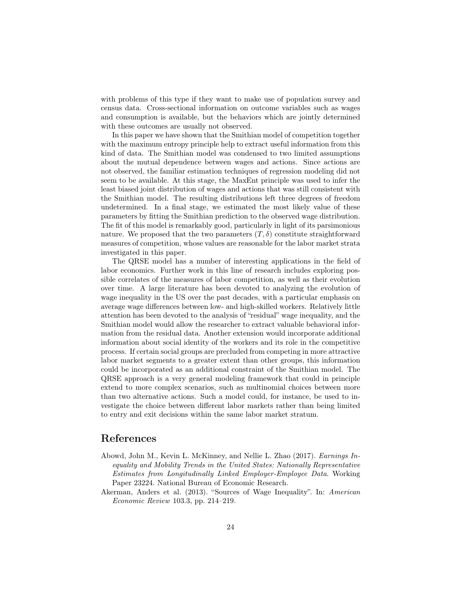with problems of this type if they want to make use of population survey and census data. Cross-sectional information on outcome variables such as wages and consumption is available, but the behaviors which are jointly determined with these outcomes are usually not observed.

In this paper we have shown that the Smithian model of competition together with the maximum entropy principle help to extract useful information from this kind of data. The Smithian model was condensed to two limited assumptions about the mutual dependence between wages and actions. Since actions are not observed, the familiar estimation techniques of regression modeling did not seem to be available. At this stage, the MaxEnt principle was used to infer the least biased joint distribution of wages and actions that was still consistent with the Smithian model. The resulting distributions left three degrees of freedom undetermined. In a final stage, we estimated the most likely value of these parameters by fitting the Smithian prediction to the observed wage distribution. The fit of this model is remarkably good, particularly in light of its parsimonious nature. We proposed that the two parameters  $(T, \delta)$  constitute straightforward measures of competition, whose values are reasonable for the labor market strata investigated in this paper.

The QRSE model has a number of interesting applications in the field of labor economics. Further work in this line of research includes exploring possible correlates of the measures of labor competition, as well as their evolution over time. A large literature has been devoted to analyzing the evolution of wage inequality in the US over the past decades, with a particular emphasis on average wage differences between low- and high-skilled workers. Relatively little attention has been devoted to the analysis of "residual" wage inequality, and the Smithian model would allow the researcher to extract valuable behavioral information from the residual data. Another extension would incorporate additional information about social identity of the workers and its role in the competitive process. If certain social groups are precluded from competing in more attractive labor market segments to a greater extent than other groups, this information could be incorporated as an additional constraint of the Smithian model. The QRSE approach is a very general modeling framework that could in principle extend to more complex scenarios, such as multinomial choices between more than two alternative actions. Such a model could, for instance, be used to investigate the choice between different labor markets rather than being limited to entry and exit decisions within the same labor market stratum.

### References

- <span id="page-24-0"></span>Abowd, John M., Kevin L. McKinney, and Nellie L. Zhao (2017). Earnings Inequality and Mobility Trends in the United States: Nationally Representative Estimates from Longitudinally Linked Employer-Employee Data. Working Paper 23224. National Bureau of Economic Research.
- <span id="page-24-1"></span>Akerman, Anders et al. (2013). "Sources of Wage Inequality". In: American Economic Review 103.3, pp. 214–219.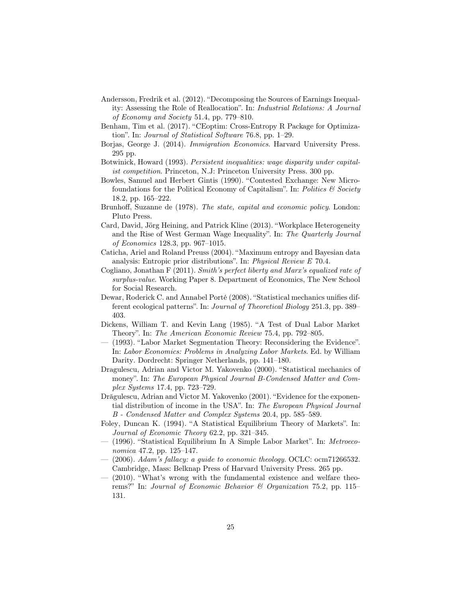- <span id="page-25-2"></span>Andersson, Fredrik et al. (2012). "Decomposing the Sources of Earnings Inequality: Assessing the Role of Reallocation". In: Industrial Relations: A Journal of Economy and Society 51.4, pp. 779–810.
- <span id="page-25-16"></span>Benham, Tim et al. (2017). "CEoptim: Cross-Entropy R Package for Optimization". In: Journal of Statistical Software 76.8, pp. 1–29.
- <span id="page-25-17"></span>Borjas, George J. (2014). Immigration Economics. Harvard University Press. 295 pp.
- <span id="page-25-12"></span>Botwinick, Howard (1993). Persistent inequalities: wage disparity under capitalist competition. Princeton, N.J: Princeton University Press. 300 pp.
- <span id="page-25-11"></span>Bowles, Samuel and Herbert Gintis (1990). "Contested Exchange: New Microfoundations for the Political Economy of Capitalism". In: Politics  $\mathcal C$  Society 18.2, pp. 165–222.
- <span id="page-25-0"></span>Brunhoff, Suzanne de (1978). The state, capital and economic policy. London: Pluto Press.
- <span id="page-25-1"></span>Card, David, Jörg Heining, and Patrick Kline (2013). "Workplace Heterogeneity and the Rise of West German Wage Inequality". In: The Quarterly Journal of Economics 128.3, pp. 967–1015.
- <span id="page-25-6"></span>Caticha, Ariel and Roland Preuss (2004). "Maximum entropy and Bayesian data analysis: Entropic prior distributions". In: Physical Review E 70.4.
- <span id="page-25-4"></span>Cogliano, Jonathan  $F(2011)$ . Smith's perfect liberty and Marx's equalized rate of surplus-value. Working Paper 8. Department of Economics, The New School for Social Research.
- <span id="page-25-7"></span>Dewar, Roderick C. and Annabel Porté (2008). "Statistical mechanics unifies different ecological patterns". In: Journal of Theoretical Biology 251.3, pp. 389– 403.
- <span id="page-25-13"></span>Dickens, William T. and Kevin Lang (1985). "A Test of Dual Labor Market Theory". In: The American Economic Review 75.4, pp. 792–805.
- <span id="page-25-10"></span>— (1993). "Labor Market Segmentation Theory: Reconsidering the Evidence". In: Labor Economics: Problems in Analyzing Labor Markets. Ed. by William Darity. Dordrecht: Springer Netherlands, pp. 141–180.
- <span id="page-25-8"></span>Dragulescu, Adrian and Victor M. Yakovenko (2000). "Statistical mechanics of money". In: The European Physical Journal B-Condensed Matter and Complex Systems 17.4, pp. 723–729.
- <span id="page-25-15"></span>Drăgulescu, Adrian and Victor M. Yakovenko (2001). "Evidence for the exponential distribution of income in the USA". In: The European Physical Journal B - Condensed Matter and Complex Systems 20.4, pp. 585–589.
- <span id="page-25-5"></span>Foley, Duncan K. (1994). "A Statistical Equilibrium Theory of Markets". In: Journal of Economic Theory 62.2, pp. 321–345.
- <span id="page-25-9"></span>— (1996). "Statistical Equilibrium In A Simple Labor Market". In: Metroeconomica 47.2, pp. 125–147.
- <span id="page-25-3"></span> $-$  (2006). Adam's fallacy: a guide to economic theology. OCLC: ocm71266532. Cambridge, Mass: Belknap Press of Harvard University Press. 265 pp.
- <span id="page-25-14"></span> $(2010)$ . "What's wrong with the fundamental existence and welfare theorems?" In: Journal of Economic Behavior & Organization 75.2, pp. 115– 131.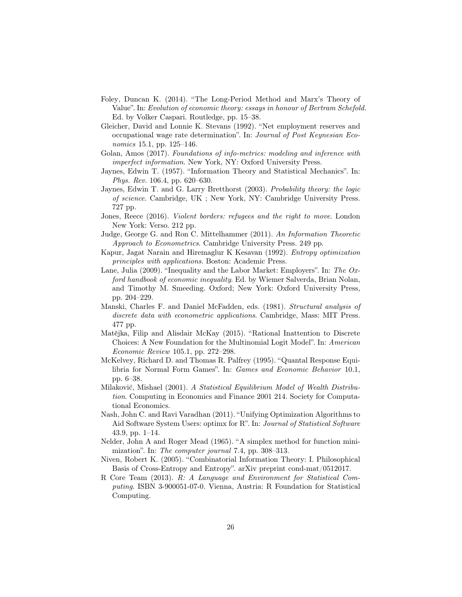- <span id="page-26-1"></span>Foley, Duncan K. (2014). "The Long-Period Method and Marx's Theory of Value". In: Evolution of economic theory: essays in honour of Bertram Schefold. Ed. by Volker Caspari. Routledge, pp. 15–38.
- <span id="page-26-0"></span>Gleicher, David and Lonnie K. Stevans (1992). "Net employment reserves and occupational wage rate determination". In: Journal of Post Keynesian Economics 15.1, pp. 125–146.
- <span id="page-26-7"></span>Golan, Amos (2017). Foundations of info-metrics: modeling and inference with imperfect information. New York, NY: Oxford University Press.
- <span id="page-26-8"></span>Jaynes, Edwin T. (1957). "Information Theory and Statistical Mechanics". In: Phys. Rev. 106.4, pp. 620–630.
- <span id="page-26-6"></span>Jaynes, Edwin T. and G. Larry Bretthorst (2003). Probability theory: the logic of science. Cambridge, UK ; New York, NY: Cambridge University Press. 727 pp.
- <span id="page-26-2"></span>Jones, Reece (2016). Violent borders: refugees and the right to move. London New York: Verso. 212 pp.
- <span id="page-26-4"></span>Judge, George G. and Ron C. Mittelhammer (2011). An Information Theoretic Approach to Econometrics. Cambridge University Press. 249 pp.
- <span id="page-26-13"></span>Kapur, Jagat Narain and Hiremaglur K Kesavan (1992). Entropy optimization principles with applications. Boston: Academic Press.
- <span id="page-26-3"></span>Lane, Julia (2009). "Inequality and the Labor Market: Employers". In: The Oxford handbook of economic inequality. Ed. by Wiemer Salverda, Brian Nolan, and Timothy M. Smeeding. Oxford; New York: Oxford University Press, pp. 204–229.
- <span id="page-26-10"></span>Manski, Charles F. and Daniel McFadden, eds. (1981). Structural analysis of discrete data with econometric applications. Cambridge, Mass: MIT Press. 477 pp.
- <span id="page-26-12"></span>Matějka, Filip and Alisdair McKay (2015). "Rational Inattention to Discrete Choices: A New Foundation for the Multinomial Logit Model". In: American Economic Review 105.1, pp. 272–298.
- <span id="page-26-11"></span>McKelvey, Richard D. and Thomas R. Palfrey (1995). "Quantal Response Equilibria for Normal Form Games". In: Games and Economic Behavior 10.1, pp. 6–38.
- <span id="page-26-9"></span>Milaković, Mishael (2001). A Statistical Equilibrium Model of Wealth Distribution. Computing in Economics and Finance 2001 214. Society for Computational Economics.
- <span id="page-26-16"></span>Nash, John C. and Ravi Varadhan (2011). "Unifying Optimization Algorithms to Aid Software System Users: optimx for R". In: Journal of Statistical Software 43.9, pp. 1–14.
- <span id="page-26-15"></span>Nelder, John A and Roger Mead (1965). "A simplex method for function minimization". In: The computer journal 7.4, pp. 308–313.
- <span id="page-26-5"></span>Niven, Robert K. (2005). "Combinatorial Information Theory: I. Philosophical Basis of Cross-Entropy and Entropy". arXiv preprint cond-mat/0512017.
- <span id="page-26-14"></span>R Core Team (2013). R: A Language and Environment for Statistical Computing. ISBN 3-900051-07-0. Vienna, Austria: R Foundation for Statistical Computing.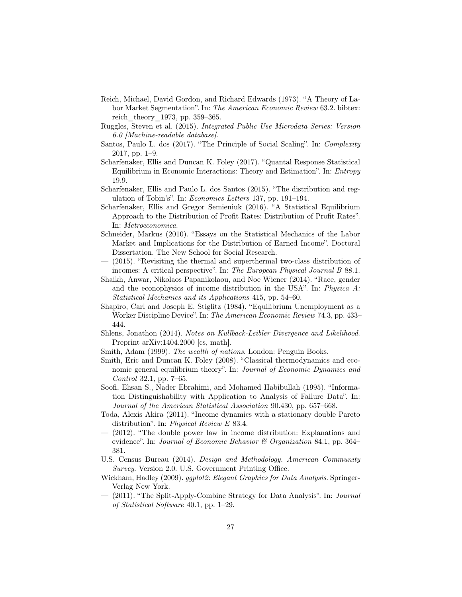- <span id="page-27-7"></span>Reich, Michael, David Gordon, and Richard Edwards (1973). "A Theory of Labor Market Segmentation". In: The American Economic Review 63.2. bibtex: reich\_theory\_1973, pp. 359–365.
- <span id="page-27-17"></span>Ruggles, Steven et al. (2015). Integrated Public Use Microdata Series: Version 6.0 [Machine-readable database].
- <span id="page-27-12"></span>Santos, Paulo L. dos (2017). "The Principle of Social Scaling". In: Complexity 2017, pp. 1–9.
- <span id="page-27-0"></span>Scharfenaker, Ellis and Duncan K. Foley (2017). "Quantal Response Statistical Equilibrium in Economic Interactions: Theory and Estimation". In: Entropy 19.9.
- <span id="page-27-4"></span>Scharfenaker, Ellis and Paulo L. dos Santos (2015). "The distribution and regulation of Tobin's". In: Economics Letters 137, pp. 191–194.
- <span id="page-27-3"></span>Scharfenaker, Ellis and Gregor Semieniuk (2016). "A Statistical Equilibrium Approach to the Distribution of Profit Rates: Distribution of Profit Rates". In: Metroeconomica.
- <span id="page-27-11"></span>Schneider, Markus (2010). "Essays on the Statistical Mechanics of the Labor Market and Implications for the Distribution of Earned Income". Doctoral Dissertation. The New School for Social Research.
- <span id="page-27-2"></span>— (2015). "Revisiting the thermal and superthermal two-class distribution of incomes: A critical perspective". In: The European Physical Journal B 88.1.
- <span id="page-27-10"></span>Shaikh, Anwar, Nikolaos Papanikolaou, and Noe Wiener (2014). "Race, gender and the econophysics of income distribution in the USA". In: Physica  $A$ : Statistical Mechanics and its Applications 415, pp. 54–60.
- <span id="page-27-8"></span>Shapiro, Carl and Joseph E. Stiglitz (1984). "Equilibrium Unemployment as a Worker Discipline Device". In: The American Economic Review 74.3, pp. 433– 444.
- <span id="page-27-5"></span>Shlens, Jonathon (2014). Notes on Kullback-Leibler Divergence and Likelihood. Preprint arXiv:1404.2000 [cs, math].
- <span id="page-27-1"></span>Smith, Adam (1999). The wealth of nations. London: Penguin Books.
- <span id="page-27-9"></span>Smith, Eric and Duncan K. Foley (2008). "Classical thermodynamics and economic general equilibrium theory". In: Journal of Economic Dynamics and Control 32.1, pp. 7–65.
- <span id="page-27-6"></span>Soofi, Ehsan S., Nader Ebrahimi, and Mohamed Habibullah (1995). "Information Distinguishability with Application to Analysis of Failure Data". In: Journal of the American Statistical Association 90.430, pp. 657–668.
- <span id="page-27-13"></span>Toda, Alexis Akira (2011). "Income dynamics with a stationary double Pareto distribution". In: Physical Review E 83.4.
- <span id="page-27-14"></span>— (2012). "The double power law in income distribution: Explanations and evidence". In: Journal of Economic Behavior & Organization 84.1, pp. 364– 381.
- <span id="page-27-18"></span>U.S. Census Bureau (2014). Design and Methodology. American Community Survey. Version 2.0. U.S. Government Printing Office.
- <span id="page-27-16"></span>Wickham, Hadley (2009). *ggplot2: Elegant Graphics for Data Analysis*. Springer-Verlag New York.
- <span id="page-27-15"></span>— (2011). "The Split-Apply-Combine Strategy for Data Analysis". In: Journal of Statistical Software 40.1, pp. 1–29.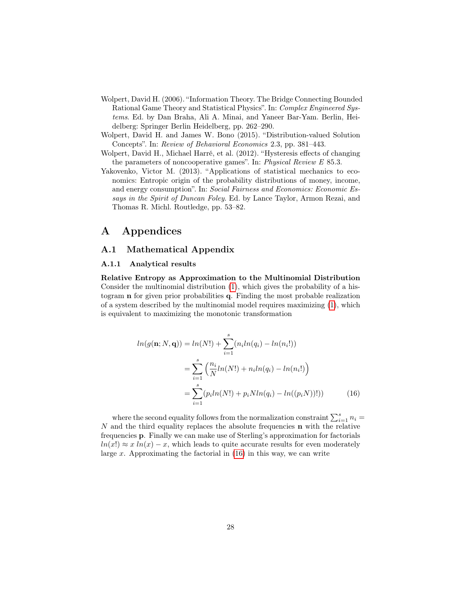- <span id="page-28-2"></span>Wolpert, David H. (2006). "Information Theory. The Bridge Connecting Bounded Rational Game Theory and Statistical Physics". In: Complex Engineered Systems. Ed. by Dan Braha, Ali A. Minai, and Yaneer Bar-Yam. Berlin, Heidelberg: Springer Berlin Heidelberg, pp. 262–290.
- <span id="page-28-1"></span>Wolpert, David H. and James W. Bono (2015). "Distribution-valued Solution Concepts". In: Review of Behavioral Economics 2.3, pp. 381–443.
- <span id="page-28-3"></span>Wolpert, David H., Michael Harré, et al. (2012). "Hysteresis effects of changing the parameters of noncooperative games". In: Physical Review E 85.3.
- <span id="page-28-4"></span>Yakovenko, Victor M. (2013). "Applications of statistical mechanics to economics: Entropic origin of the probability distributions of money, income, and energy consumption". In: Social Fairness and Economics: Economic Essays in the Spirit of Duncan Foley. Ed. by Lance Taylor, Armon Rezai, and Thomas R. Michl. Routledge, pp. 53–82.

## A Appendices

#### <span id="page-28-0"></span>A.1 Mathematical Appendix

#### A.1.1 Analytical results

Relative Entropy as Approximation to the Multinomial Distribution Consider the multinomial distribution [\(1\)](#page-10-0), which gives the probability of a histogram n for given prior probabilities q. Finding the most probable realization of a system described by the multinomial model requires maximizing [\(1\)](#page-10-0), which is equivalent to maximizing the monotonic transformation

<span id="page-28-5"></span>
$$
ln(g(\mathbf{n}; N, \mathbf{q})) = ln(N!) + \sum_{i=1}^{s} (n_i ln(q_i) - ln(n_i!))
$$
  
= 
$$
\sum_{i=1}^{s} \left( \frac{n_i}{N} ln(N!) + n_i ln(q_i) - ln(n_i!) \right)
$$
  
= 
$$
\sum_{i=1}^{s} (p_i ln(N!) + p_i N ln(q_i) - ln((p_i N))!))
$$
(16)

where the second equality follows from the normalization constraint  $\sum_{i=1}^{s} n_i =$  $N$  and the third equality replaces the absolute frequencies  $n$  with the relative frequencies p. Finally we can make use of Sterling's approximation for factorials  $ln(x!) \approx x ln(x) - x$ , which leads to quite accurate results for even moderately large x. Approximating the factorial in  $(16)$  in this way, we can write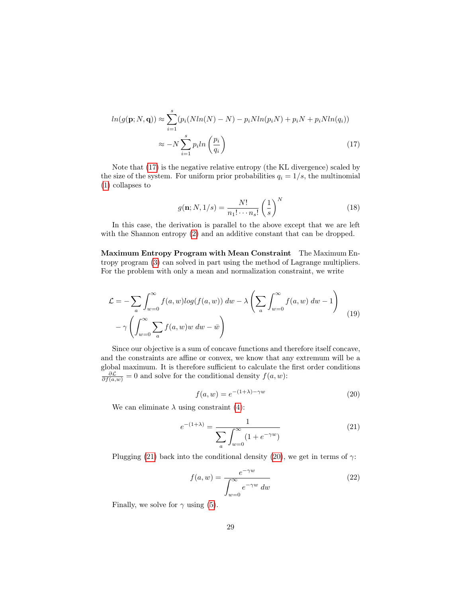$$
ln(g(\mathbf{p}; N, \mathbf{q})) \approx \sum_{i=1}^{s} (p_i(Nln(N) - N) - p_iNln(p_iN) + p_iN + p_iNln(q_i))
$$

$$
\approx -N \sum_{i=1}^{s} p_i ln\left(\frac{p_i}{q_i}\right)
$$
(17)

Note that [\(17\)](#page-29-0) is the negative relative entropy (the KL divergence) scaled by the size of the system. For uniform prior probabilities  $q_i = 1/s$ , the multinomial [\(1\)](#page-10-0) collapses to

<span id="page-29-0"></span>
$$
g(\mathbf{n}; N, 1/s) = \frac{N!}{n_1! \cdots n_s!} \left(\frac{1}{s}\right)^N
$$
\n(18)

In this case, the derivation is parallel to the above except that we are left with the Shannon entropy  $(2)$  and an additive constant that can be dropped.

Maximum Entropy Program with Mean Constraint The Maximum Entropy program [\(3\)](#page-11-0) can solved in part using the method of Lagrange multipliers. For the problem with only a mean and normalization constraint, we write

$$
\mathcal{L} = -\sum_{a} \int_{w=0}^{\infty} f(a, w) \log(f(a, w)) \, dw - \lambda \left( \sum_{a} \int_{w=0}^{\infty} f(a, w) \, dw - 1 \right)
$$

$$
- \gamma \left( \int_{w=0}^{\infty} \sum_{a} f(a, w) w \, dw - \bar{w} \right)
$$
(19)

Since our objective is a sum of concave functions and therefore itself concave, and the constraints are affine or convex, we know that any extremum will be a global maximum. It is therefore sufficient to calculate the first order conditions  $\frac{\partial \mathcal{L}}{\partial f(a,w)} = 0$  and solve for the conditional density  $f(a, w)$ :

<span id="page-29-2"></span>
$$
f(a, w) = e^{-(1+\lambda)-\gamma w} \tag{20}
$$

We can eliminate  $\lambda$  using constraint [\(4\)](#page-11-1):

<span id="page-29-1"></span>
$$
e^{-(1+\lambda)} = \frac{1}{\sum_{a} \int_{w=0}^{\infty} (1 + e^{-\gamma w})}
$$
(21)

Plugging [\(21\)](#page-29-1) back into the conditional density [\(20\)](#page-29-2), we get in terms of  $\gamma$ :

$$
f(a, w) = \frac{e^{-\gamma w}}{\int_{w=0}^{\infty} e^{-\gamma w} dw}
$$
 (22)

Finally, we solve for  $\gamma$  using [\(5\)](#page-11-2).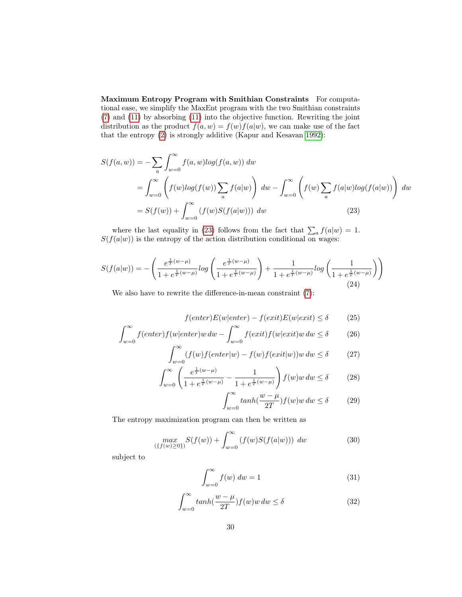Maximum Entropy Program with Smithian Constraints For computational ease, we simplify the MaxEnt program with the two Smithian constraints [\(7\)](#page-12-2) and [\(11\)](#page-13-0) by absorbing [\(11\)](#page-13-0) into the objective function. Rewriting the joint distribution as the product  $f(a, w) = f(w) f(a|w)$ , we can make use of the fact that the entropy [\(2\)](#page-10-1) is strongly additive (Kapur and Kesavan [1992\)](#page-26-13):

$$
S(f(a, w)) = -\sum_{a} \int_{w=0}^{\infty} f(a, w) \log(f(a, w)) dw
$$
  
= 
$$
\int_{w=0}^{\infty} \left( f(w) \log(f(w)) \sum_{a} f(a|w) \right) dw - \int_{w=0}^{\infty} \left( f(w) \sum_{a} f(a|w) \log(f(a|w)) \right) dw
$$
  
= 
$$
S(f(w)) + \int_{w=0}^{\infty} (f(w)S(f(a|w))) dw
$$
 (23)

where the last equality in [\(23\)](#page-30-0) follows from the fact that  $\sum_a f(a|w) = 1$ .  $S(f(a|w))$  is the entropy of the action distribution conditional on wages:

$$
S(f(a|w)) = -\left(\frac{e^{\frac{1}{T}(w-\mu)}}{1+e^{\frac{1}{T}(w-\mu)}}log\left(\frac{e^{\frac{1}{T}(w-\mu)}}{1+e^{\frac{1}{T}(w-\mu)}}\right) + \frac{1}{1+e^{\frac{1}{T}(w-\mu)}}log\left(\frac{1}{1+e^{\frac{1}{T}(w-\mu)}}\right)\right)
$$
(24)

We also have to rewrite the difference-in-mean constraint [\(7\)](#page-12-2):

<span id="page-30-0"></span>
$$
f(enter)E(w|enter) - f(exit)E(w|exit) \le \delta \tag{25}
$$

$$
\int_{w=0}^{\infty} f(enter)f(we|enter)w\,dw - \int_{w=0}^{\infty} f(exit)f(w|exit)w\,dw \le \delta \tag{26}
$$

$$
\int_{w=0}^{\infty} (f(w)f(enter|w) - f(w)f(exit|w))w dw \le \delta \tag{27}
$$

$$
\int_{w=0}^{\infty} \left( \frac{e^{\frac{1}{T}(w-\mu)}}{1 + e^{\frac{1}{T}(w-\mu)}} - \frac{1}{1 + e^{\frac{1}{T}(w-\mu)}} \right) f(w)w \, dw \le \delta \tag{28}
$$

$$
\int_{w=0}^{\infty} \tanh(\frac{w-\mu}{2T}) f(w)w \, dw \le \delta \tag{29}
$$

The entropy maximization program can then be written as

$$
\max_{(\{f(w)\ge 0\})} S(f(w)) + \int_{w=0}^{\infty} (f(w)S(f(a|w))) \ dw \tag{30}
$$

subject to

$$
\int_{w=0}^{\infty} f(w) \, dw = 1 \tag{31}
$$

$$
\int_{w=0}^{\infty} \tanh(\frac{w-\mu}{2T}) f(w)w \, dw \le \delta \tag{32}
$$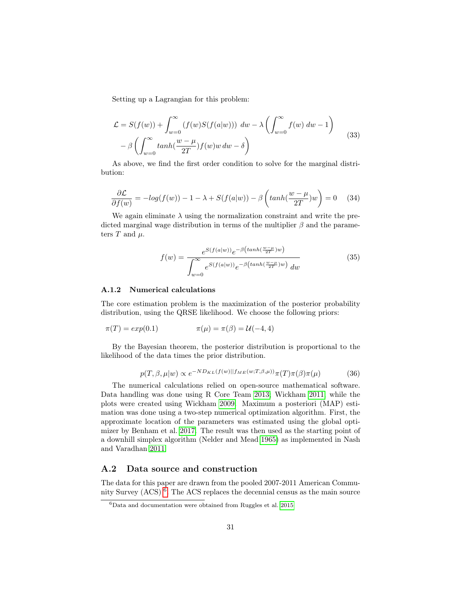Setting up a Lagrangian for this problem:

$$
\mathcal{L} = S(f(w)) + \int_{w=0}^{\infty} (f(w)S(f(a|w))) \ dw - \lambda \left( \int_{w=0}^{\infty} f(w) \ dw - 1 \right)
$$
  
-  $\beta \left( \int_{w=0}^{\infty} \tanh(\frac{w-\mu}{2T}) f(w)w \ dw - \delta \right)$  (33)

As above, we find the first order condition to solve for the marginal distribution:

$$
\frac{\partial \mathcal{L}}{\partial f(w)} = -\log(f(w)) - 1 - \lambda + S(f(a|w)) - \beta \left(\tanh(\frac{w - \mu}{2T})w\right) = 0 \quad (34)
$$

We again eliminate  $\lambda$  using the normalization constraint and write the predicted marginal wage distribution in terms of the multiplier  $\beta$  and the parameters  $T$  and  $\mu$ .

$$
f(w) = \frac{e^{S(f(a|w))}e^{-\beta\left(\tanh(\frac{w-\mu}{2T})w\right)}}{\int_{w=0}^{\infty} e^{S(f(a|w))}e^{-\beta\left(\tanh(\frac{w-\mu}{2T})w\right)} dw}
$$
(35)

#### A.1.2 Numerical calculations

The core estimation problem is the maximization of the posterior probability distribution, using the QRSE likelihood. We choose the following priors:

$$
\pi(T) = exp(0.1) \qquad \qquad \pi(\mu) = \pi(\beta) = \mathcal{U}(-4, 4)
$$

By the Bayesian theorem, the posterior distribution is proportional to the likelihood of the data times the prior distribution.

$$
p(T, \beta, \mu | w) \propto e^{-ND_{KL}(f(w)||f_{ME}(w; T, \beta, \mu))} \pi(T) \pi(\beta) \pi(\mu)
$$
 (36)

The numerical calculations relied on open-source mathematical software. Data handling was done using R Core Team [2013;](#page-26-14) Wickham [2011,](#page-27-15) while the plots were created using Wickham [2009.](#page-27-16) Maximum a posteriori (MAP) estimation was done using a two-step numerical optimization algorithm. First, the approximate location of the parameters was estimated using the global optimizer by Benham et al. [2017.](#page-25-16) The result was then used as the starting point of a downhill simplex algorithm (Nelder and Mead [1965\)](#page-26-15) as implemented in Nash and Varadhan [2011.](#page-26-16)

### <span id="page-31-0"></span>A.2 Data source and construction

The data for this paper are drawn from the pooled 2007-2011 American Community Survey (ACS) [6](#page-31-1) . The ACS replaces the decennial census as the main source

<span id="page-31-1"></span> ${}^{6}$ Data and documentation were obtained from Ruggles et al. [2015](#page-27-17)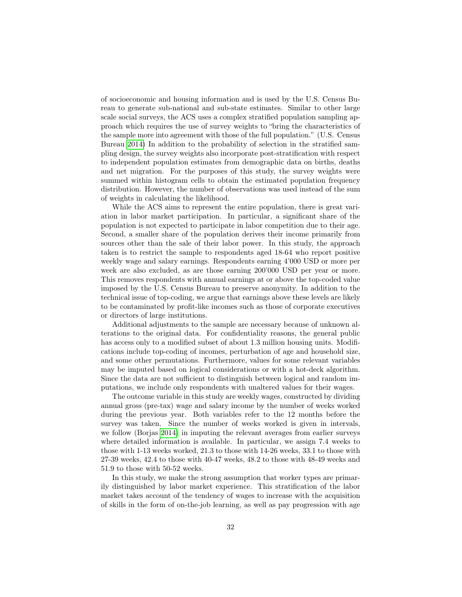of socioeconomic and housing information and is used by the U.S. Census Bureau to generate sub-national and sub-state estimates. Similar to other large scale social surveys, the ACS uses a complex stratified population sampling approach which requires the use of survey weights to "bring the characteristics of the sample more into agreement with those of the full population." (U.S. Census Bureau [2014\)](#page-27-18) In addition to the probability of selection in the stratified sampling design, the survey weights also incorporate post-stratification with respect to independent population estimates from demographic data on births, deaths and net migration. For the purposes of this study, the survey weights were summed within histogram cells to obtain the estimated population frequency distribution. However, the number of observations was used instead of the sum of weights in calculating the likelihood.

While the ACS aims to represent the entire population, there is great variation in labor market participation. In particular, a significant share of the population is not expected to participate in labor competition due to their age. Second, a smaller share of the population derives their income primarily from sources other than the sale of their labor power. In this study, the approach taken is to restrict the sample to respondents aged 18-64 who report positive weekly wage and salary earnings. Respondents earning 4'000 USD or more per week are also excluded, as are those earning 200'000 USD per year or more. This removes respondents with annual earnings at or above the top-coded value imposed by the U.S. Census Bureau to preserve anonymity. In addition to the technical issue of top-coding, we argue that earnings above these levels are likely to be contaminated by profit-like incomes such as those of corporate executives or directors of large institutions.

Additional adjustments to the sample are necessary because of unknown alterations to the original data. For confidentiality reasons, the general public has access only to a modified subset of about 1.3 million housing units. Modifications include top-coding of incomes, perturbation of age and household size, and some other permutations. Furthermore, values for some relevant variables may be imputed based on logical considerations or with a hot-deck algorithm. Since the data are not sufficient to distinguish between logical and random imputations, we include only respondents with unaltered values for their wages.

The outcome variable in this study are weekly wages, constructed by dividing annual gross (pre-tax) wage and salary income by the number of weeks worked during the previous year. Both variables refer to the 12 months before the survey was taken. Since the number of weeks worked is given in intervals, we follow (Borjas [2014\)](#page-25-17) in imputing the relevant averages from earlier surveys where detailed information is available. In particular, we assign 7.4 weeks to those with 1-13 weeks worked, 21.3 to those with 14-26 weeks, 33.1 to those with 27-39 weeks, 42.4 to those with 40-47 weeks, 48.2 to those with 48-49 weeks and 51.9 to those with 50-52 weeks.

In this study, we make the strong assumption that worker types are primarily distinguished by labor market experience. This stratification of the labor market takes account of the tendency of wages to increase with the acquisition of skills in the form of on-the-job learning, as well as pay progression with age